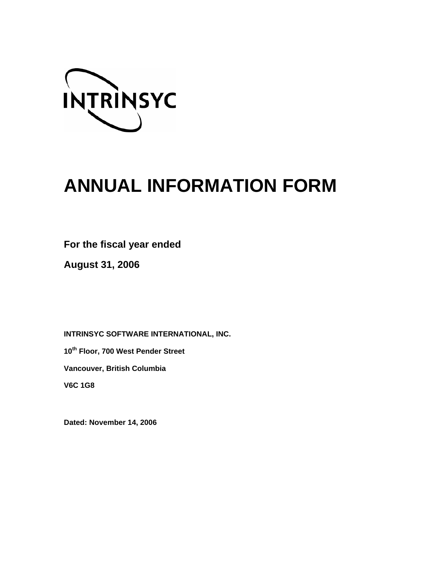

# **ANNUAL INFORMATION FORM**

**For the fiscal year ended** 

**August 31, 2006** 

**INTRINSYC SOFTWARE INTERNATIONAL, INC.** 

**10th Floor, 700 West Pender Street** 

**Vancouver, British Columbia** 

**V6C 1G8** 

**Dated: November 14, 2006**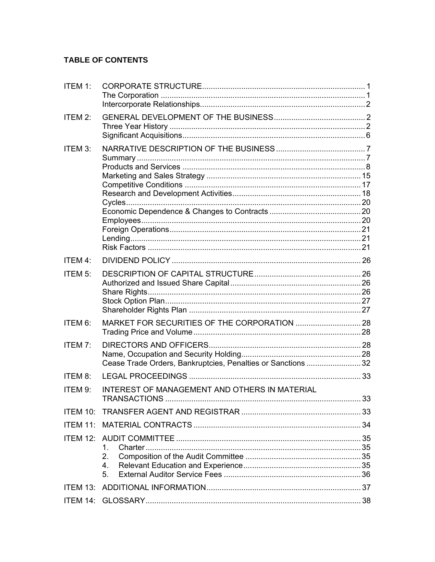# TABLE OF CONTENTS

| ITEM 1:         |                                                                      |  |  |  |  |
|-----------------|----------------------------------------------------------------------|--|--|--|--|
| ITEM 2:         |                                                                      |  |  |  |  |
| ITEM 3:         |                                                                      |  |  |  |  |
|                 |                                                                      |  |  |  |  |
|                 |                                                                      |  |  |  |  |
|                 |                                                                      |  |  |  |  |
| ITEM 4:         |                                                                      |  |  |  |  |
| ITEM 5:         |                                                                      |  |  |  |  |
|                 |                                                                      |  |  |  |  |
| ITEM 6:         |                                                                      |  |  |  |  |
| ITEM 7:         | Cease Trade Orders, Bankruptcies, Penalties or Sanctions 32          |  |  |  |  |
| ITEM 8:         |                                                                      |  |  |  |  |
| ITEM 9:         | INTEREST OF MANAGEMENT AND OTHERS IN MATERIAL<br><b>TRANSACTIONS</b> |  |  |  |  |
|                 |                                                                      |  |  |  |  |
|                 |                                                                      |  |  |  |  |
|                 |                                                                      |  |  |  |  |
|                 | 1.                                                                   |  |  |  |  |
|                 | 2.<br>4.<br>5.                                                       |  |  |  |  |
| <b>ITEM 13:</b> |                                                                      |  |  |  |  |
|                 |                                                                      |  |  |  |  |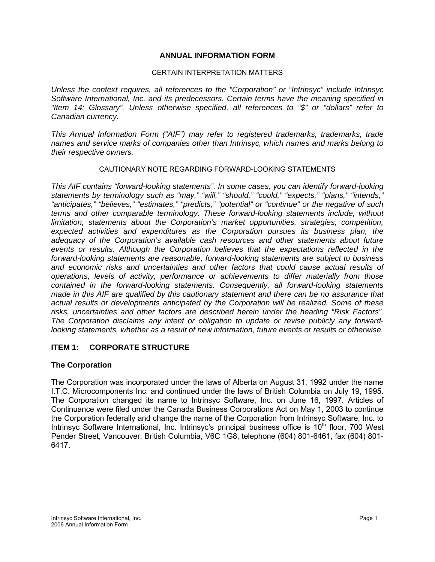## **ANNUAL INFORMATION FORM**

#### CERTAIN INTERPRETATION MATTERS

<span id="page-2-0"></span>*Unless the context requires, all references to the "Corporation" or "Intrinsyc" include Intrinsyc Software International, Inc. and its predecessors. Certain terms have the meaning specified in "Item 14: Glossary". Unless otherwise specified, all references to "\$" or "dollars" refer to Canadian currency.* 

*This Annual Information Form ("AIF") may refer to registered trademarks, trademarks, trade names and service marks of companies other than Intrinsyc, which names and marks belong to their respective owners.* 

#### CAUTIONARY NOTE REGARDING FORWARD-LOOKING STATEMENTS

*This AIF contains "forward-looking statements". In some cases, you can identify forward-looking statements by terminology such as "may," "will," "should," "could," "expects," "plans," "intends," "anticipates," "believes," "estimates," "predicts," "potential" or "continue" or the negative of such terms and other comparable terminology. These forward-looking statements include, without limitation, statements about the Corporation's market opportunities, strategies, competition, expected activities and expenditures as the Corporation pursues its business plan, the adequacy of the Corporation's available cash resources and other statements about future events or results. Although the Corporation believes that the expectations reflected in the forward-looking statements are reasonable, forward-looking statements are subject to business and economic risks and uncertainties and other factors that could cause actual results of operations, levels of activity, performance or achievements to differ materially from those contained in the forward-looking statements. Consequently, all forward-looking statements made in this AIF are qualified by this cautionary statement and there can be no assurance that actual results or developments anticipated by the Corporation will be realized. Some of these risks, uncertainties and other factors are described herein under the heading "Risk Factors". The Corporation disclaims any intent or obligation to update or revise publicly any forwardlooking statements, whether as a result of new information, future events or results or otherwise.* 

## **ITEM 1: CORPORATE STRUCTURE**

#### **The Corporation**

The Corporation was incorporated under the laws of Alberta on August 31, 1992 under the name I.T.C. Microcomponents Inc. and continued under the laws of British Columbia on July 19, 1995. The Corporation changed its name to Intrinsyc Software, Inc. on June 16, 1997. Articles of Continuance were filed under the Canada Business Corporations Act on May 1, 2003 to continue the Corporation federally and change the name of the Corporation from Intrinsyc Software, Inc. to Intrinsyc Software International, Inc. Intrinsyc's principal business office is 10<sup>th</sup> floor, 700 West Pender Street, Vancouver, British Columbia, V6C 1G8, telephone (604) 801-6461, fax (604) 801- 6417.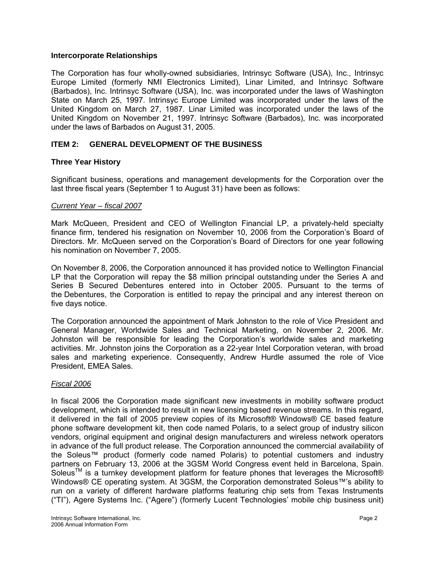#### <span id="page-3-0"></span>**Intercorporate Relationships**

The Corporation has four wholly-owned subsidiaries, Intrinsyc Software (USA), Inc., Intrinsyc Europe Limited (formerly NMI Electronics Limited), Linar Limited, and Intrinsyc Software (Barbados), Inc. Intrinsyc Software (USA), Inc. was incorporated under the laws of Washington State on March 25, 1997. Intrinsyc Europe Limited was incorporated under the laws of the United Kingdom on March 27, 1987. Linar Limited was incorporated under the laws of the United Kingdom on November 21, 1997. Intrinsyc Software (Barbados), Inc. was incorporated under the laws of Barbados on August 31, 2005.

## **ITEM 2: GENERAL DEVELOPMENT OF THE BUSINESS**

## **Three Year History**

Significant business, operations and management developments for the Corporation over the last three fiscal years (September 1 to August 31) have been as follows:

#### *Current Year – fiscal 2007*

Mark McQueen, President and CEO of Wellington Financial LP, a privately-held specialty finance firm, tendered his resignation on November 10, 2006 from the Corporation's Board of Directors. Mr. McQueen served on the Corporation's Board of Directors for one year following his nomination on November 7, 2005.

On November 8, 2006, the Corporation announced it has provided notice to Wellington Financial LP that the Corporation will repay the \$8 million principal outstanding under the Series A and Series B Secured Debentures entered into in October 2005. Pursuant to the terms of the Debentures, the Corporation is entitled to repay the principal and any interest thereon on five days notice.

The Corporation announced the appointment of Mark Johnston to the role of Vice President and General Manager, Worldwide Sales and Technical Marketing, on November 2, 2006. Mr. Johnston will be responsible for leading the Corporation's worldwide sales and marketing activities. Mr. Johnston joins the Corporation as a 22-year Intel Corporation veteran, with broad sales and marketing experience. Consequently, Andrew Hurdle assumed the role of Vice President, EMEA Sales.

## *Fiscal 2006*

In fiscal 2006 the Corporation made significant new investments in mobility software product development, which is intended to result in new licensing based revenue streams. In this regard, it delivered in the fall of 2005 preview copies of its Microsoft® Windows® CE based feature phone software development kit, then code named Polaris, to a select group of industry silicon vendors, original equipment and original design manufacturers and wireless network operators in advance of the full product release. The Corporation announced the commercial availability of the Soleus™ product (formerly code named Polaris) to potential customers and industry partners on February 13, 2006 at the 3GSM World Congress event held in Barcelona, Spain. Soleus<sup>TM</sup> is a turnkey development platform for feature phones that leverages the Microsoft® Windows® CE operating system. At 3GSM, the Corporation demonstrated Soleus™'s ability to run on a variety of different hardware platforms featuring chip sets from Texas Instruments ("TI"), Agere Systems Inc. ("Agere") (formerly Lucent Technologies' mobile chip business unit)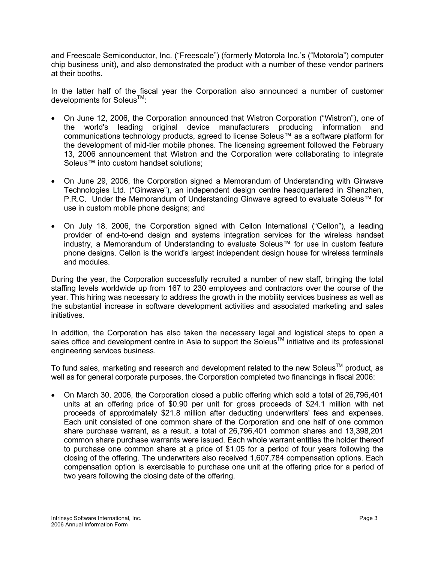and Freescale Semiconductor, Inc. ("Freescale") (formerly Motorola Inc.'s ("Motorola") computer chip business unit), and also demonstrated the product with a number of these vendor partners at their booths.

In the latter half of the fiscal year the Corporation also announced a number of customer developments for Soleus<sup>™</sup>:

- On June 12, 2006, the Corporation announced that Wistron Corporation ("Wistron"), one of the world's leading original device manufacturers producing information and communications technology products, agreed to license Soleus™ as a software platform for the development of mid-tier mobile phones. The licensing agreement followed the February 13, 2006 announcement that Wistron and the Corporation were collaborating to integrate Soleus™ into custom handset solutions;
- On June 29, 2006, the Corporation signed a Memorandum of Understanding with Ginwave Technologies Ltd. ("Ginwave"), an independent design centre headquartered in Shenzhen, P.R.C. Under the Memorandum of Understanding Ginwave agreed to evaluate Soleus™ for use in custom mobile phone designs; and
- On July 18, 2006, the Corporation signed with Cellon International ("Cellon"), a leading provider of end-to-end design and systems integration services for the wireless handset industry, a Memorandum of Understanding to evaluate Soleus™ for use in custom feature phone designs. Cellon is the world's largest independent design house for wireless terminals and modules.

During the year, the Corporation successfully recruited a number of new staff, bringing the total staffing levels worldwide up from 167 to 230 employees and contractors over the course of the year. This hiring was necessary to address the growth in the mobility services business as well as the substantial increase in software development activities and associated marketing and sales initiatives.

In addition, the Corporation has also taken the necessary legal and logistical steps to open a sales office and development centre in Asia to support the Soleus<sup>TM</sup> initiative and its professional engineering services business.

To fund sales, marketing and research and development related to the new Soleus™ product. as well as for general corporate purposes, the Corporation completed two financings in fiscal 2006:

• On March 30, 2006, the Corporation closed a public offering which sold a total of 26,796,401 units at an offering price of \$0.90 per unit for gross proceeds of \$24.1 million with net proceeds of approximately \$21.8 million after deducting underwriters' fees and expenses. Each unit consisted of one common share of the Corporation and one half of one common share purchase warrant, as a result, a total of 26,796,401 common shares and 13,398,201 common share purchase warrants were issued. Each whole warrant entitles the holder thereof to purchase one common share at a price of \$1.05 for a period of four years following the closing of the offering. The underwriters also received 1,607,784 compensation options. Each compensation option is exercisable to purchase one unit at the offering price for a period of two years following the closing date of the offering.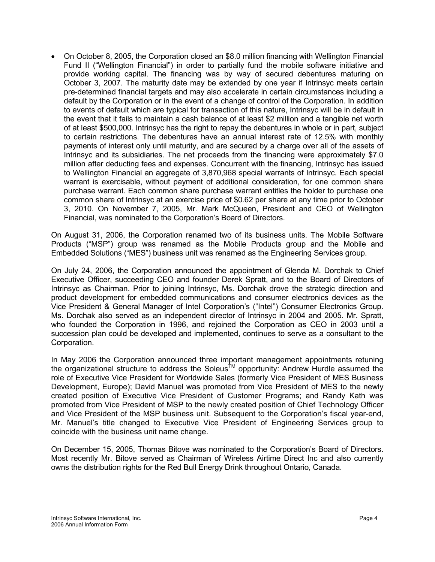• On October 8, 2005, the Corporation closed an \$8.0 million financing with Wellington Financial Fund II ("Wellington Financial") in order to partially fund the mobile software initiative and provide working capital. The financing was by way of secured debentures maturing on October 3, 2007. The maturity date may be extended by one year if Intrinsyc meets certain pre-determined financial targets and may also accelerate in certain circumstances including a default by the Corporation or in the event of a change of control of the Corporation. In addition to events of default which are typical for transaction of this nature, Intrinsyc will be in default in the event that it fails to maintain a cash balance of at least \$2 million and a tangible net worth of at least \$500,000. Intrinsyc has the right to repay the debentures in whole or in part, subject to certain restrictions. The debentures have an annual interest rate of 12.5% with monthly payments of interest only until maturity, and are secured by a charge over all of the assets of Intrinsyc and its subsidiaries. The net proceeds from the financing were approximately \$7.0 million after deducting fees and expenses. Concurrent with the financing, Intrinsyc has issued to Wellington Financial an aggregate of 3,870,968 special warrants of Intrinsyc. Each special warrant is exercisable, without payment of additional consideration, for one common share purchase warrant. Each common share purchase warrant entitles the holder to purchase one common share of Intrinsyc at an exercise price of \$0.62 per share at any time prior to October 3, 2010. On November 7, 2005, Mr. Mark McQueen, President and CEO of Wellington Financial, was nominated to the Corporation's Board of Directors.

On August 31, 2006, the Corporation renamed two of its business units. The Mobile Software Products ("MSP") group was renamed as the Mobile Products group and the Mobile and Embedded Solutions ("MES") business unit was renamed as the Engineering Services group.

On July 24, 2006, the Corporation announced the appointment of Glenda M. Dorchak to Chief Executive Officer, succeeding CEO and founder Derek Spratt, and to the Board of Directors of Intrinsyc as Chairman. Prior to joining Intrinsyc, Ms. Dorchak drove the strategic direction and product development for embedded communications and consumer electronics devices as the Vice President & General Manager of Intel Corporation's ("Intel") Consumer Electronics Group. Ms. Dorchak also served as an independent director of Intrinsyc in 2004 and 2005. Mr. Spratt, who founded the Corporation in 1996, and rejoined the Corporation as CEO in 2003 until a succession plan could be developed and implemented, continues to serve as a consultant to the Corporation.

In May 2006 the Corporation announced three important management appointments retuning the organizational structure to address the Soleus<sup>tM</sup> opportunity: Andrew Hurdle assumed the role of Executive Vice President for Worldwide Sales (formerly Vice President of MES Business Development, Europe); David Manuel was promoted from Vice President of MES to the newly created position of Executive Vice President of Customer Programs; and Randy Kath was promoted from Vice President of MSP to the newly created position of Chief Technology Officer and Vice President of the MSP business unit. Subsequent to the Corporation's fiscal year-end, Mr. Manuel's title changed to Executive Vice President of Engineering Services group to coincide with the business unit name change.

On December 15, 2005, Thomas Bitove was nominated to the Corporation's Board of Directors. Most recently Mr. Bitove served as Chairman of Wireless Airtime Direct Inc and also currently owns the distribution rights for the Red Bull Energy Drink throughout Ontario, Canada.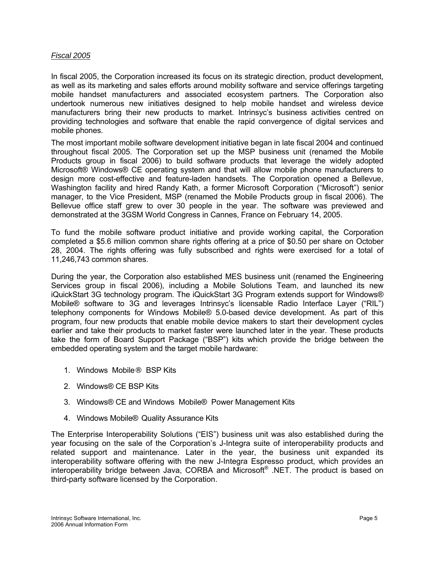#### *Fiscal 2005*

In fiscal 2005, the Corporation increased its focus on its strategic direction, product development, as well as its marketing and sales efforts around mobility software and service offerings targeting mobile handset manufacturers and associated ecosystem partners. The Corporation also undertook numerous new initiatives designed to help mobile handset and wireless device manufacturers bring their new products to market. Intrinsyc's business activities centred on providing technologies and software that enable the rapid convergence of digital services and mobile phones.

The most important mobile software development initiative began in late fiscal 2004 and continued throughout fiscal 2005. The Corporation set up the MSP business unit (renamed the Mobile Products group in fiscal 2006) to build software products that leverage the widely adopted Microsoft® Windows® CE operating system and that will allow mobile phone manufacturers to design more cost-effective and feature-laden handsets. The Corporation opened a Bellevue, Washington facility and hired Randy Kath, a former Microsoft Corporation ("Microsoft") senior manager, to the Vice President, MSP (renamed the Mobile Products group in fiscal 2006). The Bellevue office staff grew to over 30 people in the year. The software was previewed and demonstrated at the 3GSM World Congress in Cannes, France on February 14, 2005.

To fund the mobile software product initiative and provide working capital, the Corporation completed a \$5.6 million common share rights offering at a price of \$0.50 per share on October 28, 2004. The rights offering was fully subscribed and rights were exercised for a total of 11,246,743 common shares.

During the year, the Corporation also established MES business unit (renamed the Engineering Services group in fiscal 2006), including a Mobile Solutions Team, and launched its new iQuickStart 3G technology program. The iQuickStart 3G Program extends support for Windows® Mobile® software to 3G and leverages Intrinsyc's licensable Radio Interface Layer ("RIL") telephony components for Windows Mobile® 5.0-based device development. As part of this program, four new products that enable mobile device makers to start their development cycles earlier and take their products to market faster were launched later in the year. These products take the form of Board Support Package ("BSP") kits which provide the bridge between the embedded operating system and the target mobile hardware:

- 1. [Windows Mobile](http://www.intrinsyc.com/products/mobile-and-embedded-service-kits/windows-mobile-bsp-kits/)® [BSP Kits](http://www.intrinsyc.com/products/mobile-and-embedded-service-kits/windows-mobile-bsp-kits/)
- 2. [Windows® CE BSP Kits](http://www.intrinsyc.com/products/mobile-and-embedded-service-kits/windows-ce-bsp-kits/)
- 3. Windows® CE and Windows Mobile® [Power Management Kits](http://www.intrinsyc.com/products/mobile-and-embedded-service-kits/power-management-kits/)
- 4. [Windows Mobile®](http://www.intrinsyc.com/products/mobile-and-embedded-service-kits/windows-mobile-quality-assurance-kits/) [Quality Assurance Kits](http://www.intrinsyc.com/products/mobile-and-embedded-service-kits/windows-mobile-quality-assurance-kits/)

The Enterprise Interoperability Solutions ("EIS") business unit was also established during the year focusing on the sale of the Corporation's J-Integra suite of interoperability products and related support and maintenance. Later in the year, the business unit expanded its interoperability software offering with the new J-Integra Espresso product, which provides an interoperability bridge between Java, CORBA and Microsoft® .NET. The product is based on third-party software licensed by the Corporation.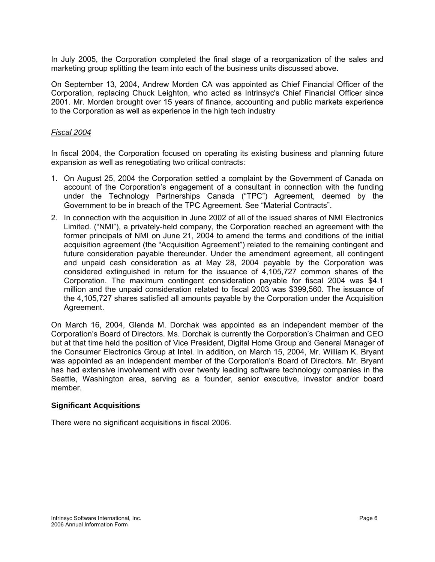<span id="page-7-0"></span>In July 2005, the Corporation completed the final stage of a reorganization of the sales and marketing group splitting the team into each of the business units discussed above.

On September 13, 2004, Andrew Morden CA was appointed as Chief Financial Officer of the Corporation, replacing Chuck Leighton, who acted as Intrinsyc's Chief Financial Officer since 2001. Mr. Morden brought over 15 years of finance, accounting and public markets experience to the Corporation as well as experience in the high tech industry

#### *Fiscal 2004*

In fiscal 2004, the Corporation focused on operating its existing business and planning future expansion as well as renegotiating two critical contracts:

- 1. On August 25, 2004 the Corporation settled a complaint by the Government of Canada on account of the Corporation's engagement of a consultant in connection with the funding under the Technology Partnerships Canada ("TPC") Agreement, deemed by the Government to be in breach of the TPC Agreement. See "Material Contracts".
- 2. In connection with the acquisition in June 2002 of all of the issued shares of NMI Electronics Limited. ("NMI"), a privately-held company, the Corporation reached an agreement with the former principals of NMI on June 21, 2004 to amend the terms and conditions of the initial acquisition agreement (the "Acquisition Agreement") related to the remaining contingent and future consideration payable thereunder. Under the amendment agreement, all contingent and unpaid cash consideration as at May 28, 2004 payable by the Corporation was considered extinguished in return for the issuance of 4,105,727 common shares of the Corporation. The maximum contingent consideration payable for fiscal 2004 was \$4.1 million and the unpaid consideration related to fiscal 2003 was \$399,560. The issuance of the 4,105,727 shares satisfied all amounts payable by the Corporation under the Acquisition Agreement.

On March 16, 2004, Glenda M. Dorchak was appointed as an independent member of the Corporation's Board of Directors. Ms. Dorchak is currently the Corporation's Chairman and CEO but at that time held the position of Vice President, Digital Home Group and General Manager of the Consumer Electronics Group at Intel. In addition, on March 15, 2004, Mr. William K. Bryant was appointed as an independent member of the Corporation's Board of Directors. Mr. Bryant has had extensive involvement with over twenty leading software technology companies in the Seattle, Washington area, serving as a founder, senior executive, investor and/or board member.

#### **Significant Acquisitions**

There were no significant acquisitions in fiscal 2006.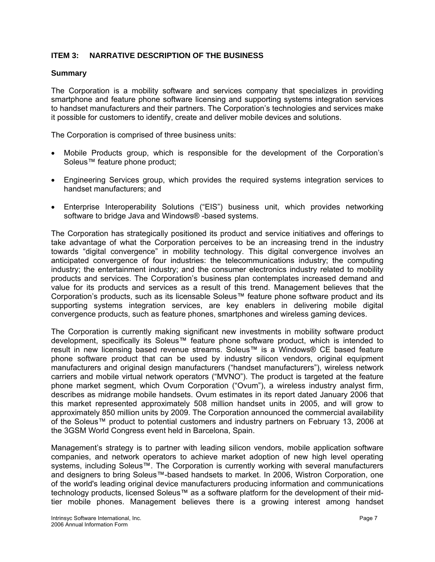## <span id="page-8-0"></span>**ITEM 3: NARRATIVE DESCRIPTION OF THE BUSINESS**

#### **Summary**

The Corporation is a mobility software and services company that specializes in providing smartphone and feature phone software licensing and supporting systems integration services to handset manufacturers and their partners. The Corporation's technologies and services make it possible for customers to identify, create and deliver mobile devices and solutions.

The Corporation is comprised of three business units:

- Mobile Products group, which is responsible for the development of the Corporation's Soleus™ feature phone product;
- Engineering Services group, which provides the required systems integration services to handset manufacturers; and
- Enterprise Interoperability Solutions ("EIS") business unit, which provides networking software to bridge Java and Windows® -based systems.

The Corporation has strategically positioned its product and service initiatives and offerings to take advantage of what the Corporation perceives to be an increasing trend in the industry towards "digital convergence" in mobility technology. This digital convergence involves an anticipated convergence of four industries: the telecommunications industry; the computing industry; the entertainment industry; and the consumer electronics industry related to mobility products and services. The Corporation's business plan contemplates increased demand and value for its products and services as a result of this trend. Management believes that the Corporation's products, such as its licensable Soleus™ feature phone software product and its supporting systems integration services, are key enablers in delivering mobile digital convergence products, such as feature phones, smartphones and wireless gaming devices.

The Corporation is currently making significant new investments in mobility software product development, specifically its Soleus™ feature phone software product, which is intended to result in new licensing based revenue streams. Soleus™ is a Windows® CE based feature phone software product that can be used by industry silicon vendors, original equipment manufacturers and original design manufacturers ("handset manufacturers"), wireless network carriers and mobile virtual network operators ("MVNO"). The product is targeted at the feature phone market segment, which Ovum Corporation ("Ovum"), a wireless industry analyst firm, describes as midrange mobile handsets. Ovum estimates in its report dated January 2006 that this market represented approximately 508 million handset units in 2005, and will grow to approximately 850 million units by 2009. The Corporation announced the commercial availability of the Soleus™ product to potential customers and industry partners on February 13, 2006 at the 3GSM World Congress event held in Barcelona, Spain.

Management's strategy is to partner with leading silicon vendors, mobile application software companies, and network operators to achieve market adoption of new high level operating systems, including Soleus™. The Corporation is currently working with several manufacturers and designers to bring Soleus™-based handsets to market. In 2006, Wistron Corporation, one of the world's leading original device manufacturers producing information and communications technology products, licensed Soleus™ as a software platform for the development of their midtier mobile phones. Management believes there is a growing interest among handset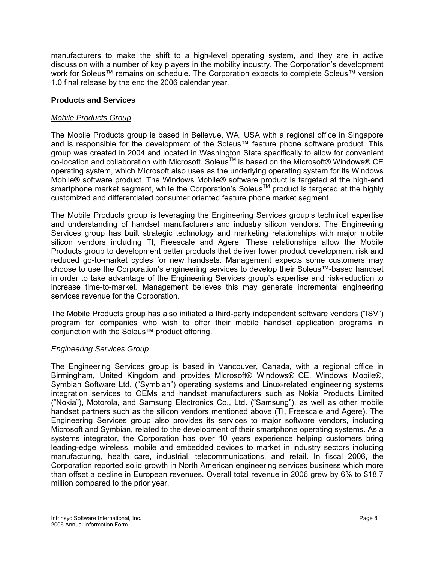<span id="page-9-0"></span>manufacturers to make the shift to a high-level operating system, and they are in active discussion with a number of key players in the mobility industry. The Corporation's development work for Soleus™ remains on schedule. The Corporation expects to complete Soleus™ version 1.0 final release by the end the 2006 calendar year,

## **Products and Services**

#### *Mobile Products Group*

The Mobile Products group is based in Bellevue, WA, USA with a regional office in Singapore and is responsible for the development of the Soleus™ feature phone software product. This group was created in 2004 and located in Washington State specifically to allow for convenient co-location and collaboration with Microsoft. Soleus<sup>™</sup> is based on the Microsoft® Windows® CE operating system, which Microsoft also uses as the underlying operating system for its Windows Mobile® software product. The Windows Mobile® software product is targeted at the high-end smartphone market segment, while the Corporation's Soleus™ product is targeted at the highly customized and differentiated consumer oriented feature phone market segment.

The Mobile Products group is leveraging the Engineering Services group's technical expertise and understanding of handset manufacturers and industry silicon vendors. The Engineering Services group has built strategic technology and marketing relationships with major mobile silicon vendors including TI, Freescale and Agere. These relationships allow the Mobile Products group to development better products that deliver lower product development risk and reduced go-to-market cycles for new handsets. Management expects some customers may choose to use the Corporation's engineering services to develop their Soleus™-based handset in order to take advantage of the Engineering Services group's expertise and risk-reduction to increase time-to-market. Management believes this may generate incremental engineering services revenue for the Corporation.

The Mobile Products group has also initiated a third-party independent software vendors ("ISV") program for companies who wish to offer their mobile handset application programs in conjunction with the Soleus™ product offering.

#### *Engineering Services Group*

The Engineering Services group is based in Vancouver, Canada, with a regional office in Birmingham, United Kingdom and provides Microsoft® Windows® CE, Windows Mobile®, Symbian Software Ltd. ("Symbian") operating systems and Linux-related engineering systems integration services to OEMs and handset manufacturers such as Nokia Products Limited ("Nokia"), Motorola, and Samsung Electronics Co., Ltd. ("Samsung"), as well as other mobile handset partners such as the silicon vendors mentioned above (TI, Freescale and Agere). The Engineering Services group also provides its services to major software vendors, including Microsoft and Symbian, related to the development of their smartphone operating systems. As a systems integrator, the Corporation has over 10 years experience helping customers bring leading-edge wireless, mobile and embedded devices to market in industry sectors including manufacturing, health care, industrial, telecommunications, and retail. In fiscal 2006, the Corporation reported solid growth in North American engineering services business which more than offset a decline in European revenues. Overall total revenue in 2006 grew by 6% to \$18.7 million compared to the prior year.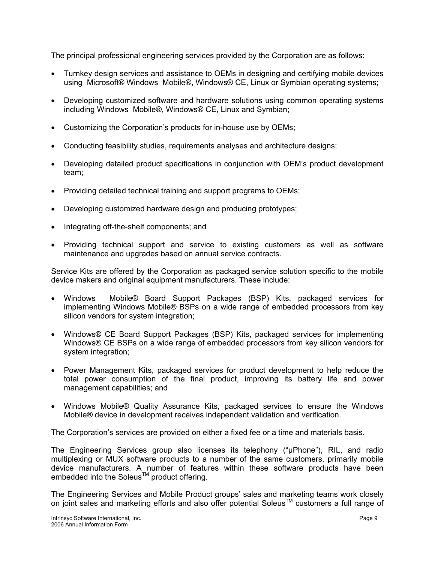The principal professional engineering services provided by the Corporation are as follows:

- Turnkey design services and assistance to OEMs in designing and certifying mobile devices using Microsoft® Windows Mobile®, Windows® CE, Linux or Symbian operating systems;
- Developing customized software and hardware solutions using common operating systems including Windows Mobile®, Windows® CE, Linux and Symbian;
- Customizing the Corporation's products for in-house use by OEMs;
- Conducting feasibility studies, requirements analyses and architecture designs;
- Developing detailed product specifications in conjunction with OEM's product development team;
- Providing detailed technical training and support programs to OEMs;
- Developing customized hardware design and producing prototypes;
- Integrating off-the-shelf components; and
- Providing technical support and service to existing customers as well as software maintenance and upgrades based on annual service contracts.

Service Kits are offered by the Corporation as packaged service solution specific to the mobile device makers and original equipment manufacturers. These include:

- Windows Mobile® Board Support Packages (BSP) Kits, packaged services for implementing Windows Mobile® BSPs on a wide range of embedded processors from key silicon vendors for system integration;
- Windows® CE Board Support Packages (BSP) Kits, packaged services for implementing Windows® CE BSPs on a wide range of embedded processors from key silicon vendors for system integration;
- Power Management Kits, packaged services for product development to help reduce the total power consumption of the final product, improving its battery life and power management capabilities; and
- Windows Mobile® Quality Assurance Kits, packaged services to ensure the Windows Mobile® device in development receives independent validation and verification.

The Corporation's services are provided on either a fixed fee or a time and materials basis.

The Engineering Services group also licenses its telephony ("μPhone"), RIL, and radio multiplexing or MUX software products to a number of the same customers, primarily mobile device manufacturers. A number of features within these software products have been embedded into the Soleus<sup>TM</sup> product offering.

The Engineering Services and Mobile Product groups' sales and marketing teams work closely on joint sales and marketing efforts and also offer potential Soleus<sup>TM</sup> customers a full range of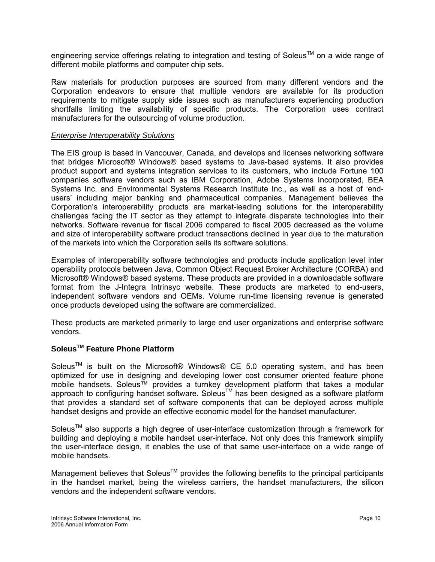engineering service offerings relating to integration and testing of Soleus<sup>TM</sup> on a wide range of different mobile platforms and computer chip sets.

Raw materials for production purposes are sourced from many different vendors and the Corporation endeavors to ensure that multiple vendors are available for its production requirements to mitigate supply side issues such as manufacturers experiencing production shortfalls limiting the availability of specific products. The Corporation uses contract manufacturers for the outsourcing of volume production.

#### *Enterprise Interoperability Solutions*

The EIS group is based in Vancouver, Canada, and develops and licenses networking software that bridges Microsoft® Windows® based systems to Java-based systems. It also provides product support and systems integration services to its customers, who include Fortune 100 companies software vendors such as IBM Corporation, Adobe Systems Incorporated, BEA Systems Inc. and Environmental Systems Research Institute Inc., as well as a host of 'endusers' including major banking and pharmaceutical companies. Management believes the Corporation's interoperability products are market-leading solutions for the interoperability challenges facing the IT sector as they attempt to integrate disparate technologies into their networks. Software revenue for fiscal 2006 compared to fiscal 2005 decreased as the volume and size of interoperability software product transactions declined in year due to the maturation of the markets into which the Corporation sells its software solutions.

Examples of interoperability software technologies and products include application level inter operability protocols between Java, Common Object Request Broker Architecture (CORBA) and Microsoft® Windows® based systems. These products are provided in a downloadable software format from the J-Integra Intrinsyc website. These products are marketed to end-users, independent software vendors and OEMs. Volume run-time licensing revenue is generated once products developed using the software are commercialized.

These products are marketed primarily to large end user organizations and enterprise software vendors.

## **SoleusTM Feature Phone Platform**

Soleus<sup>TM</sup> is built on the Microsoft<sup>®</sup> Windows<sup>®</sup> CE 5.0 operating system, and has been optimized for use in designing and developing lower cost consumer oriented feature phone mobile handsets. Soleus™ provides a turnkey development platform that takes a modular approach to configuring handset software. Soleus™ has been designed as a software platform that provides a standard set of software components that can be deployed across multiple handset designs and provide an effective economic model for the handset manufacturer.

Soleus<sup>™</sup> also supports a high degree of user-interface customization through a framework for building and deploying a mobile handset user-interface. Not only does this framework simplify the user-interface design, it enables the use of that same user-interface on a wide range of mobile handsets.

Management believes that Soleus<sup>TM</sup> provides the following benefits to the principal participants in the handset market, being the wireless carriers, the handset manufacturers, the silicon vendors and the independent software vendors.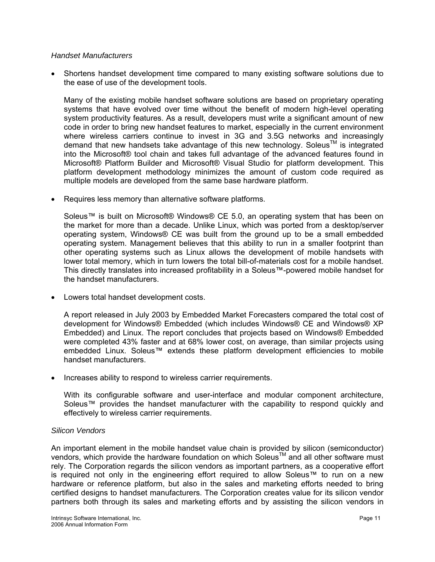#### *Handset Manufacturers*

• Shortens handset development time compared to many existing software solutions due to the ease of use of the development tools.

Many of the existing mobile handset software solutions are based on proprietary operating systems that have evolved over time without the benefit of modern high-level operating system productivity features. As a result, developers must write a significant amount of new code in order to bring new handset features to market, especially in the current environment where wireless carriers continue to invest in 3G and 3.5G networks and increasingly demand that new handsets take advantage of this new technology. Soleus<sup>TM</sup> is integrated into the Microsoft® tool chain and takes full advantage of the advanced features found in Microsoft® Platform Builder and Microsoft® Visual Studio for platform development. This platform development methodology minimizes the amount of custom code required as multiple models are developed from the same base hardware platform.

• Requires less memory than alternative software platforms.

Soleus™ is built on Microsoft® Windows® CE 5.0, an operating system that has been on the market for more than a decade. Unlike Linux, which was ported from a desktop/server operating system, Windows® CE was built from the ground up to be a small embedded operating system. Management believes that this ability to run in a smaller footprint than other operating systems such as Linux allows the development of mobile handsets with lower total memory, which in turn lowers the total bill-of-materials cost for a mobile handset. This directly translates into increased profitability in a Soleus™-powered mobile handset for the handset manufacturers.

• Lowers total handset development costs.

A report released in July 2003 by Embedded Market Forecasters compared the total cost of development for Windows® Embedded (which includes Windows® CE and Windows® XP Embedded) and Linux. The report concludes that projects based on Windows® Embedded were completed 43% faster and at 68% lower cost, on average, than similar projects using embedded Linux. Soleus™ extends these platform development efficiencies to mobile handset manufacturers.

• Increases ability to respond to wireless carrier requirements.

With its configurable software and user-interface and modular component architecture, Soleus™ provides the handset manufacturer with the capability to respond quickly and effectively to wireless carrier requirements.

#### *Silicon Vendors*

An important element in the mobile handset value chain is provided by silicon (semiconductor) vendors, which provide the hardware foundation on which Soleus™ and all other software must rely. The Corporation regards the silicon vendors as important partners, as a cooperative effort is required not only in the engineering effort required to allow Soleus™ to run on a new hardware or reference platform, but also in the sales and marketing efforts needed to bring certified designs to handset manufacturers. The Corporation creates value for its silicon vendor partners both through its sales and marketing efforts and by assisting the silicon vendors in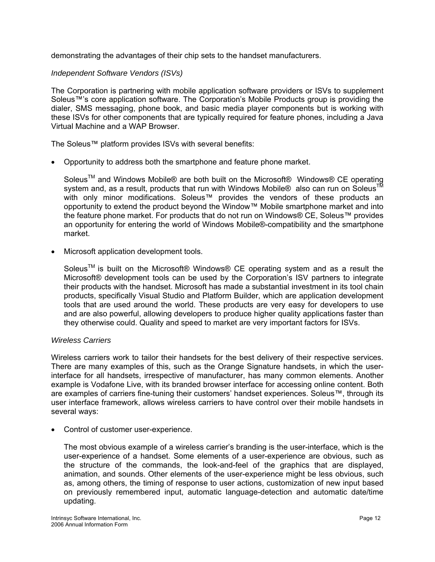demonstrating the advantages of their chip sets to the handset manufacturers.

#### *Independent Software Vendors (ISVs)*

The Corporation is partnering with mobile application software providers or ISVs to supplement Soleus™'s core application software. The Corporation's Mobile Products group is providing the dialer, SMS messaging, phone book, and basic media player components but is working with these ISVs for other components that are typically required for feature phones, including a Java Virtual Machine and a WAP Browser.

The Soleus™ platform provides ISVs with several benefits:

• Opportunity to address both the smartphone and feature phone market.

Soleus<sup>™</sup> and Windows Mobile® are both built on the Microsoft® Windows® CE operating system and, as a result, products that run with Windows Mobile® also can run on Soleus<sup>™</sup> with only minor modifications. Soleus™ provides the vendors of these products an opportunity to extend the product beyond the Window™ Mobile smartphone market and into the feature phone market. For products that do not run on Windows® CE, Soleus™ provides an opportunity for entering the world of Windows Mobile®-compatibility and the smartphone market.

• Microsoft application development tools.

Soleus<sup>TM</sup> is built on the Microsoft<sup>®</sup> Windows<sup>®</sup> CE operating system and as a result the Microsoft® development tools can be used by the Corporation's ISV partners to integrate their products with the handset. Microsoft has made a substantial investment in its tool chain products, specifically Visual Studio and Platform Builder, which are application development tools that are used around the world. These products are very easy for developers to use and are also powerful, allowing developers to produce higher quality applications faster than they otherwise could. Quality and speed to market are very important factors for ISVs.

#### *Wireless Carriers*

Wireless carriers work to tailor their handsets for the best delivery of their respective services. There are many examples of this, such as the Orange Signature handsets, in which the userinterface for all handsets, irrespective of manufacturer, has many common elements. Another example is Vodafone Live, with its branded browser interface for accessing online content. Both are examples of carriers fine-tuning their customers' handset experiences. Soleus™, through its user interface framework, allows wireless carriers to have control over their mobile handsets in several ways:

• Control of customer user-experience.

The most obvious example of a wireless carrier's branding is the user-interface, which is the user-experience of a handset. Some elements of a user-experience are obvious, such as the structure of the commands, the look-and-feel of the graphics that are displayed, animation, and sounds. Other elements of the user-experience might be less obvious, such as, among others, the timing of response to user actions, customization of new input based on previously remembered input, automatic language-detection and automatic date/time updating.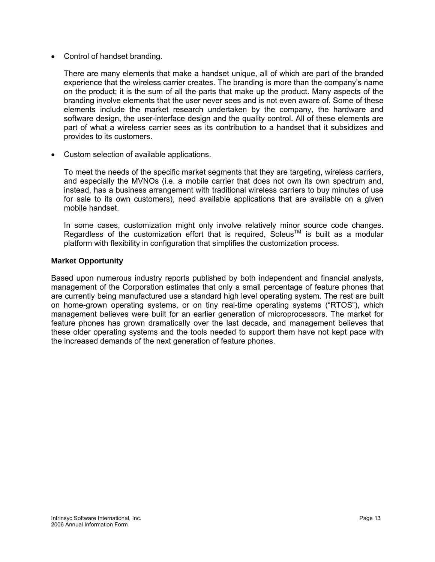• Control of handset branding.

There are many elements that make a handset unique, all of which are part of the branded experience that the wireless carrier creates. The branding is more than the company's name on the product; it is the sum of all the parts that make up the product. Many aspects of the branding involve elements that the user never sees and is not even aware of. Some of these elements include the market research undertaken by the company, the hardware and software design, the user-interface design and the quality control. All of these elements are part of what a wireless carrier sees as its contribution to a handset that it subsidizes and provides to its customers.

• Custom selection of available applications.

To meet the needs of the specific market segments that they are targeting, wireless carriers, and especially the MVNOs (i.e. a mobile carrier that does not own its own spectrum and, instead, has a business arrangement with traditional wireless carriers to buy minutes of use for sale to its own customers), need available applications that are available on a given mobile handset.

In some cases, customization might only involve relatively minor source code changes. Regardless of the customization effort that is required. Soleus<sup>TM</sup> is built as a modular platform with flexibility in configuration that simplifies the customization process.

#### **Market Opportunity**

Based upon numerous industry reports published by both independent and financial analysts, management of the Corporation estimates that only a small percentage of feature phones that are currently being manufactured use a standard high level operating system. The rest are built on home-grown operating systems, or on tiny real-time operating systems ("RTOS"), which management believes were built for an earlier generation of microprocessors. The market for feature phones has grown dramatically over the last decade, and management believes that these older operating systems and the tools needed to support them have not kept pace with the increased demands of the next generation of feature phones.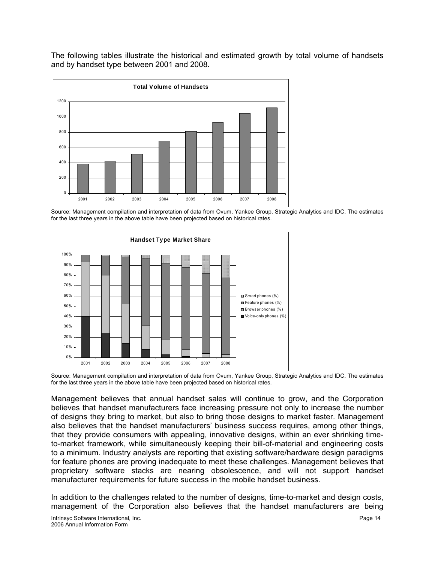The following tables illustrate the historical and estimated growth by total volume of handsets and by handset type between 2001 and 2008.



Source: Management compilation and interpretation of data from Ovum, Yankee Group, Strategic Analytics and IDC. The estimates for the last three years in the above table have been projected based on historical rates.



Source: Management compilation and interpretation of data from Ovum, Yankee Group, Strategic Analytics and IDC. The estimates for the last three years in the above table have been projected based on historical rates.

Management believes that annual handset sales will continue to grow, and the Corporation believes that handset manufacturers face increasing pressure not only to increase the number of designs they bring to market, but also to bring those designs to market faster. Management also believes that the handset manufacturers' business success requires, among other things, that they provide consumers with appealing, innovative designs, within an ever shrinking timeto-market framework, while simultaneously keeping their bill-of-material and engineering costs to a minimum. Industry analysts are reporting that existing software/hardware design paradigms for feature phones are proving inadequate to meet these challenges. Management believes that proprietary software stacks are nearing obsolescence, and will not support handset manufacturer requirements for future success in the mobile handset business.

In addition to the challenges related to the number of designs, time-to-market and design costs, management of the Corporation also believes that the handset manufacturers are being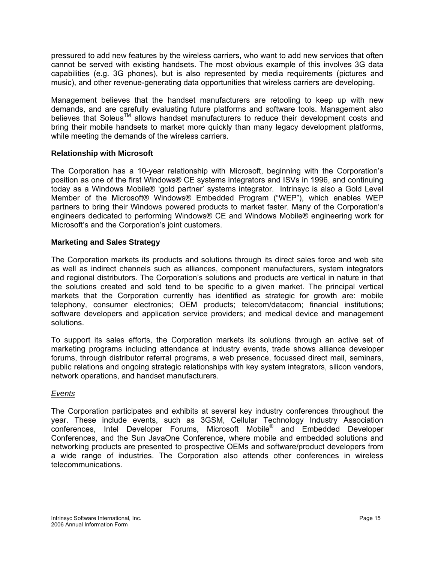<span id="page-16-0"></span>pressured to add new features by the wireless carriers, who want to add new services that often cannot be served with existing handsets. The most obvious example of this involves 3G data capabilities (e.g. 3G phones), but is also represented by media requirements (pictures and music), and other revenue-generating data opportunities that wireless carriers are developing.

Management believes that the handset manufacturers are retooling to keep up with new demands, and are carefully evaluating future platforms and software tools. Management also believes that SoleusTM allows handset manufacturers to reduce their development costs and bring their mobile handsets to market more quickly than many legacy development platforms, while meeting the demands of the wireless carriers.

## **Relationship with Microsoft**

The Corporation has a 10-year relationship with Microsoft, beginning with the Corporation's position as one of the first Windows® CE systems integrators and ISVs in 1996, and continuing today as a Windows Mobile® 'gold partner' systems integrator. Intrinsyc is also a Gold Level Member of the Microsoft® Windows® Embedded Program ("WEP"), which enables WEP partners to bring their Windows powered products to market faster. Many of the Corporation's engineers dedicated to performing Windows® CE and Windows Mobile® engineering work for Microsoft's and the Corporation's joint customers.

#### **Marketing and Sales Strategy**

The Corporation markets its products and solutions through its direct sales force and web site as well as indirect channels such as alliances, component manufacturers, system integrators and regional distributors. The Corporation's solutions and products are vertical in nature in that the solutions created and sold tend to be specific to a given market. The principal vertical markets that the Corporation currently has identified as strategic for growth are: mobile telephony, consumer electronics; OEM products; telecom/datacom; financial institutions; software developers and application service providers; and medical device and management solutions.

To support its sales efforts, the Corporation markets its solutions through an active set of marketing programs including attendance at industry events, trade shows alliance developer forums, through distributor referral programs, a web presence, focussed direct mail, seminars, public relations and ongoing strategic relationships with key system integrators, silicon vendors, network operations, and handset manufacturers.

#### *Events*

The Corporation participates and exhibits at several key industry conferences throughout the year. These include events, such as 3GSM, Cellular Technology Industry Association conferences, Intel Developer Forums, Microsoft Mobile® and Embedded Developer Conferences, and the Sun JavaOne Conference, where mobile and embedded solutions and networking products are presented to prospective OEMs and software/product developers from a wide range of industries. The Corporation also attends other conferences in wireless telecommunications.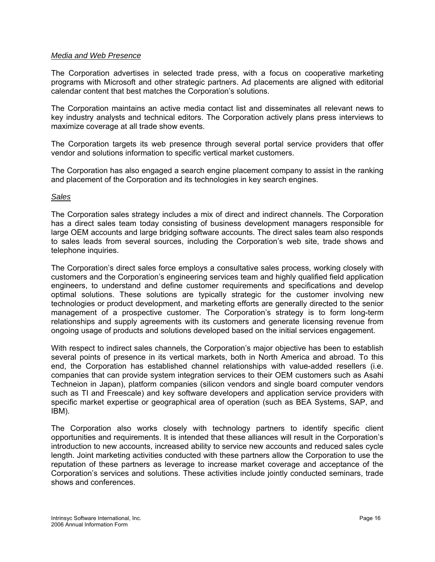#### *Media and Web Presence*

The Corporation advertises in selected trade press, with a focus on cooperative marketing programs with Microsoft and other strategic partners. Ad placements are aligned with editorial calendar content that best matches the Corporation's solutions.

The Corporation maintains an active media contact list and disseminates all relevant news to key industry analysts and technical editors. The Corporation actively plans press interviews to maximize coverage at all trade show events.

The Corporation targets its web presence through several portal service providers that offer vendor and solutions information to specific vertical market customers.

The Corporation has also engaged a search engine placement company to assist in the ranking and placement of the Corporation and its technologies in key search engines.

#### *Sales*

The Corporation sales strategy includes a mix of direct and indirect channels. The Corporation has a direct sales team today consisting of business development managers responsible for large OEM accounts and large bridging software accounts. The direct sales team also responds to sales leads from several sources, including the Corporation's web site, trade shows and telephone inquiries.

The Corporation's direct sales force employs a consultative sales process, working closely with customers and the Corporation's engineering services team and highly qualified field application engineers, to understand and define customer requirements and specifications and develop optimal solutions. These solutions are typically strategic for the customer involving new technologies or product development, and marketing efforts are generally directed to the senior management of a prospective customer. The Corporation's strategy is to form long-term relationships and supply agreements with its customers and generate licensing revenue from ongoing usage of products and solutions developed based on the initial services engagement.

With respect to indirect sales channels, the Corporation's major objective has been to establish several points of presence in its vertical markets, both in North America and abroad. To this end, the Corporation has established channel relationships with value-added resellers (i.e. companies that can provide system integration services to their OEM customers such as Asahi Techneion in Japan), platform companies (silicon vendors and single board computer vendors such as TI and Freescale) and key software developers and application service providers with specific market expertise or geographical area of operation (such as BEA Systems, SAP, and IBM).

The Corporation also works closely with technology partners to identify specific client opportunities and requirements. It is intended that these alliances will result in the Corporation's introduction to new accounts, increased ability to service new accounts and reduced sales cycle length. Joint marketing activities conducted with these partners allow the Corporation to use the reputation of these partners as leverage to increase market coverage and acceptance of the Corporation's services and solutions. These activities include jointly conducted seminars, trade shows and conferences.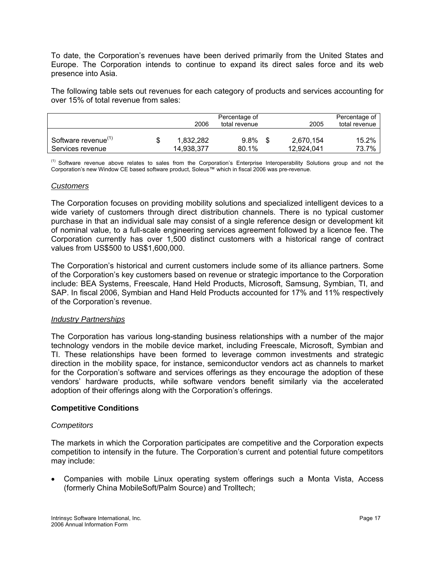<span id="page-18-0"></span>To date, the Corporation's revenues have been derived primarily from the United States and Europe. The Corporation intends to continue to expand its direct sales force and its web presence into Asia.

The following table sets out revenues for each category of products and services accounting for over 15% of total revenue from sales:

|                                                     |   | 2006                    | Percentage of<br>total revenue | 2005                    | Percentage of<br>total revenue |
|-----------------------------------------------------|---|-------------------------|--------------------------------|-------------------------|--------------------------------|
| Software revenue <sup>(1)</sup><br>Services revenue | S | 1.832.282<br>14.938.377 | $9.8\%$<br>80.1%               | 2,670,154<br>12.924.041 | 15.2%<br>73.7%                 |

<sup>(1)</sup> Software revenue above relates to sales from the Corporation's Enterprise Interoperability Solutions group and not the Corporation's new Window CE based software product, Soleus™ which in fiscal 2006 was pre-revenue.

#### *Customers*

The Corporation focuses on providing mobility solutions and specialized intelligent devices to a wide variety of customers through direct distribution channels. There is no typical customer purchase in that an individual sale may consist of a single reference design or development kit of nominal value, to a full-scale engineering services agreement followed by a licence fee. The Corporation currently has over 1,500 distinct customers with a historical range of contract values from US\$500 to US\$1,600,000.

The Corporation's historical and current customers include some of its alliance partners. Some of the Corporation's key customers based on revenue or strategic importance to the Corporation include: BEA Systems, Freescale, Hand Held Products, Microsoft, Samsung, Symbian, TI, and SAP. In fiscal 2006, Symbian and Hand Held Products accounted for 17% and 11% respectively of the Corporation's revenue.

#### *Industry Partnerships*

The Corporation has various long-standing business relationships with a number of the major technology vendors in the mobile device market, including Freescale, Microsoft, Symbian and TI. These relationships have been formed to leverage common investments and strategic direction in the mobility space, for instance, semiconductor vendors act as channels to market for the Corporation's software and services offerings as they encourage the adoption of these vendors' hardware products, while software vendors benefit similarly via the accelerated adoption of their offerings along with the Corporation's offerings.

#### **Competitive Conditions**

#### *Competitors*

The markets in which the Corporation participates are competitive and the Corporation expects competition to intensify in the future. The Corporation's current and potential future competitors may include:

• Companies with mobile Linux operating system offerings such a Monta Vista, Access (formerly China MobileSoft/Palm Source) and Trolltech;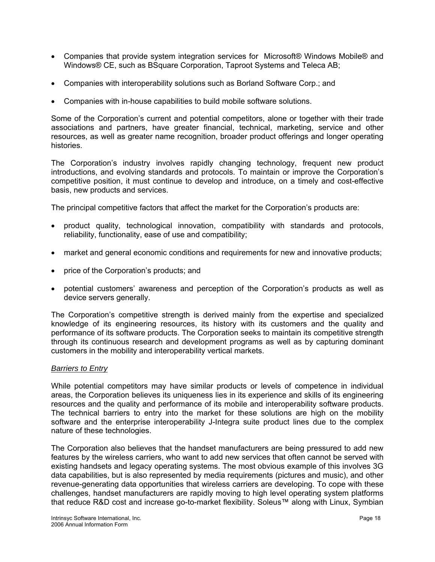- Companies that provide system integration services for Microsoft® Windows Mobile® and Windows® CE, such as BSquare Corporation, Taproot Systems and Teleca AB;
- Companies with interoperability solutions such as Borland Software Corp.; and
- Companies with in-house capabilities to build mobile software solutions.

Some of the Corporation's current and potential competitors, alone or together with their trade associations and partners, have greater financial, technical, marketing, service and other resources, as well as greater name recognition, broader product offerings and longer operating histories.

The Corporation's industry involves rapidly changing technology, frequent new product introductions, and evolving standards and protocols. To maintain or improve the Corporation's competitive position, it must continue to develop and introduce, on a timely and cost-effective basis, new products and services.

The principal competitive factors that affect the market for the Corporation's products are:

- product quality, technological innovation, compatibility with standards and protocols, reliability, functionality, ease of use and compatibility;
- market and general economic conditions and requirements for new and innovative products;
- price of the Corporation's products; and
- potential customers' awareness and perception of the Corporation's products as well as device servers generally.

The Corporation's competitive strength is derived mainly from the expertise and specialized knowledge of its engineering resources, its history with its customers and the quality and performance of its software products. The Corporation seeks to maintain its competitive strength through its continuous research and development programs as well as by capturing dominant customers in the mobility and interoperability vertical markets.

## *Barriers to Entry*

While potential competitors may have similar products or levels of competence in individual areas, the Corporation believes its uniqueness lies in its experience and skills of its engineering resources and the quality and performance of its mobile and interoperability software products. The technical barriers to entry into the market for these solutions are high on the mobility software and the enterprise interoperability J-Integra suite product lines due to the complex nature of these technologies.

The Corporation also believes that the handset manufacturers are being pressured to add new features by the wireless carriers, who want to add new services that often cannot be served with existing handsets and legacy operating systems. The most obvious example of this involves 3G data capabilities, but is also represented by media requirements (pictures and music), and other revenue-generating data opportunities that wireless carriers are developing. To cope with these challenges, handset manufacturers are rapidly moving to high level operating system platforms that reduce R&D cost and increase go-to-market flexibility. Soleus™ along with Linux, Symbian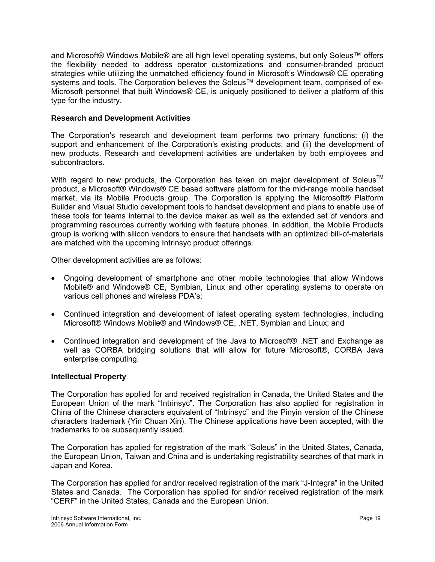<span id="page-20-0"></span>and Microsoft® Windows Mobile® are all high level operating systems, but only Soleus™ offers the flexibility needed to address operator customizations and consumer-branded product strategies while utilizing the unmatched efficiency found in Microsoft's Windows® CE operating systems and tools. The Corporation believes the Soleus™ development team, comprised of ex-Microsoft personnel that built Windows® CE, is uniquely positioned to deliver a platform of this type for the industry.

## **Research and Development Activities**

The Corporation's research and development team performs two primary functions: (i) the support and enhancement of the Corporation's existing products; and (ii) the development of new products. Research and development activities are undertaken by both employees and subcontractors.

With regard to new products, the Corporation has taken on major development of Soleus<sup>TM</sup> product, a Microsoft® Windows® CE based software platform for the mid-range mobile handset market, via its Mobile Products group. The Corporation is applying the Microsoft® Platform Builder and Visual Studio development tools to handset development and plans to enable use of these tools for teams internal to the device maker as well as the extended set of vendors and programming resources currently working with feature phones. In addition, the Mobile Products group is working with silicon vendors to ensure that handsets with an optimized bill-of-materials are matched with the upcoming Intrinsyc product offerings.

Other development activities are as follows:

- Ongoing development of smartphone and other mobile technologies that allow Windows Mobile® and Windows® CE, Symbian, Linux and other operating systems to operate on various cell phones and wireless PDA's;
- Continued integration and development of latest operating system technologies, including Microsoft® Windows Mobile® and Windows® CE, .NET, Symbian and Linux; and
- Continued integration and development of the Java to Microsoft® .NET and Exchange as well as CORBA bridging solutions that will allow for future Microsoft®, CORBA Java enterprise computing.

## **Intellectual Property**

The Corporation has applied for and received registration in Canada, the United States and the European Union of the mark "Intrinsyc". The Corporation has also applied for registration in China of the Chinese characters equivalent of "Intrinsyc" and the Pinyin version of the Chinese characters trademark (Yin Chuan Xin). The Chinese applications have been accepted, with the trademarks to be subsequently issued.

The Corporation has applied for registration of the mark "Soleus" in the United States, Canada, the European Union, Taiwan and China and is undertaking registrability searches of that mark in Japan and Korea.

The Corporation has applied for and/or received registration of the mark "J-Integra" in the United States and Canada. The Corporation has applied for and/or received registration of the mark "CERF" in the United States, Canada and the European Union.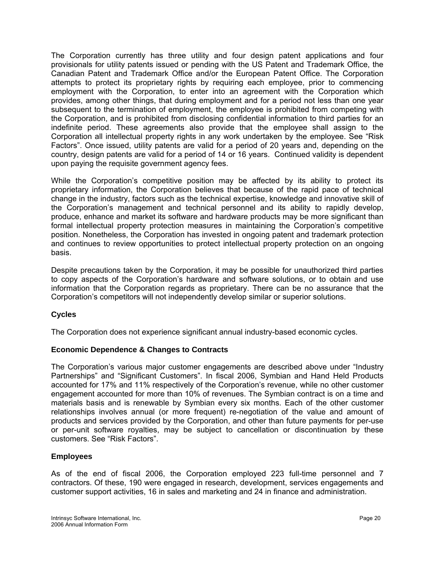<span id="page-21-0"></span>The Corporation currently has three utility and four design patent applications and four provisionals for utility patents issued or pending with the US Patent and Trademark Office, the Canadian Patent and Trademark Office and/or the European Patent Office. The Corporation attempts to protect its proprietary rights by requiring each employee, prior to commencing employment with the Corporation, to enter into an agreement with the Corporation which provides, among other things, that during employment and for a period not less than one year subsequent to the termination of employment, the employee is prohibited from competing with the Corporation, and is prohibited from disclosing confidential information to third parties for an indefinite period. These agreements also provide that the employee shall assign to the Corporation all intellectual property rights in any work undertaken by the employee. See "Risk Factors". Once issued, utility patents are valid for a period of 20 years and, depending on the country, design patents are valid for a period of 14 or 16 years. Continued validity is dependent upon paying the requisite government agency fees.

While the Corporation's competitive position may be affected by its ability to protect its proprietary information, the Corporation believes that because of the rapid pace of technical change in the industry, factors such as the technical expertise, knowledge and innovative skill of the Corporation's management and technical personnel and its ability to rapidly develop, produce, enhance and market its software and hardware products may be more significant than formal intellectual property protection measures in maintaining the Corporation's competitive position. Nonetheless, the Corporation has invested in ongoing patent and trademark protection and continues to review opportunities to protect intellectual property protection on an ongoing basis.

Despite precautions taken by the Corporation, it may be possible for unauthorized third parties to copy aspects of the Corporation's hardware and software solutions, or to obtain and use information that the Corporation regards as proprietary. There can be no assurance that the Corporation's competitors will not independently develop similar or superior solutions.

# **Cycles**

The Corporation does not experience significant annual industry-based economic cycles.

## **Economic Dependence & Changes to Contracts**

The Corporation's various major customer engagements are described above under "Industry Partnerships" and "Significant Customers". In fiscal 2006, Symbian and Hand Held Products accounted for 17% and 11% respectively of the Corporation's revenue, while no other customer engagement accounted for more than 10% of revenues. The Symbian contract is on a time and materials basis and is renewable by Symbian every six months. Each of the other customer relationships involves annual (or more frequent) re-negotiation of the value and amount of products and services provided by the Corporation, and other than future payments for per-use or per-unit software royalties, may be subject to cancellation or discontinuation by these customers. See "Risk Factors".

## **Employees**

As of the end of fiscal 2006, the Corporation employed 223 full-time personnel and 7 contractors. Of these, 190 were engaged in research, development, services engagements and customer support activities, 16 in sales and marketing and 24 in finance and administration.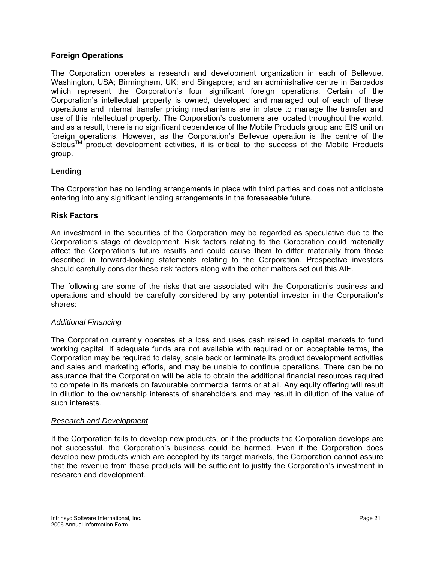#### <span id="page-22-0"></span>**Foreign Operations**

The Corporation operates a research and development organization in each of Bellevue, Washington, USA; Birmingham, UK; and Singapore; and an administrative centre in Barbados which represent the Corporation's four significant foreign operations. Certain of the Corporation's intellectual property is owned, developed and managed out of each of these operations and internal transfer pricing mechanisms are in place to manage the transfer and use of this intellectual property. The Corporation's customers are located throughout the world, and as a result, there is no significant dependence of the Mobile Products group and EIS unit on foreign operations. However, as the Corporation's Bellevue operation is the centre of the Soleus<sup>TM</sup> product development activities, it is critical to the success of the Mobile Products group.

## **Lending**

The Corporation has no lending arrangements in place with third parties and does not anticipate entering into any significant lending arrangements in the foreseeable future.

#### **Risk Factors**

An investment in the securities of the Corporation may be regarded as speculative due to the Corporation's stage of development. Risk factors relating to the Corporation could materially affect the Corporation's future results and could cause them to differ materially from those described in forward-looking statements relating to the Corporation. Prospective investors should carefully consider these risk factors along with the other matters set out this AIF.

The following are some of the risks that are associated with the Corporation's business and operations and should be carefully considered by any potential investor in the Corporation's shares:

#### *Additional Financing*

The Corporation currently operates at a loss and uses cash raised in capital markets to fund working capital. If adequate funds are not available with required or on acceptable terms, the Corporation may be required to delay, scale back or terminate its product development activities and sales and marketing efforts, and may be unable to continue operations. There can be no assurance that the Corporation will be able to obtain the additional financial resources required to compete in its markets on favourable commercial terms or at all. Any equity offering will result in dilution to the ownership interests of shareholders and may result in dilution of the value of such interests.

#### *Research and Development*

If the Corporation fails to develop new products, or if the products the Corporation develops are not successful, the Corporation's business could be harmed. Even if the Corporation does develop new products which are accepted by its target markets, the Corporation cannot assure that the revenue from these products will be sufficient to justify the Corporation's investment in research and development.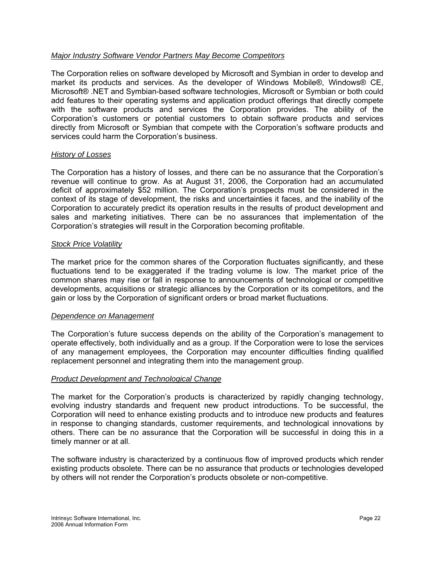## *Major Industry Software Vendor Partners May Become Competitors*

The Corporation relies on software developed by Microsoft and Symbian in order to develop and market its products and services. As the developer of Windows Mobile®, Windows® CE, Microsoft® .NET and Symbian-based software technologies, Microsoft or Symbian or both could add features to their operating systems and application product offerings that directly compete with the software products and services the Corporation provides. The ability of the Corporation's customers or potential customers to obtain software products and services directly from Microsoft or Symbian that compete with the Corporation's software products and services could harm the Corporation's business.

#### *History of Losses*

The Corporation has a history of losses, and there can be no assurance that the Corporation's revenue will continue to grow. As at August 31, 2006, the Corporation had an accumulated deficit of approximately \$52 million. The Corporation's prospects must be considered in the context of its stage of development, the risks and uncertainties it faces, and the inability of the Corporation to accurately predict its operation results in the results of product development and sales and marketing initiatives. There can be no assurances that implementation of the Corporation's strategies will result in the Corporation becoming profitable.

#### *Stock Price Volatility*

The market price for the common shares of the Corporation fluctuates significantly, and these fluctuations tend to be exaggerated if the trading volume is low. The market price of the common shares may rise or fall in response to announcements of technological or competitive developments, acquisitions or strategic alliances by the Corporation or its competitors, and the gain or loss by the Corporation of significant orders or broad market fluctuations.

#### *Dependence on Management*

The Corporation's future success depends on the ability of the Corporation's management to operate effectively, both individually and as a group. If the Corporation were to lose the services of any management employees, the Corporation may encounter difficulties finding qualified replacement personnel and integrating them into the management group.

#### *Product Development and Technological Change*

The market for the Corporation's products is characterized by rapidly changing technology, evolving industry standards and frequent new product introductions. To be successful, the Corporation will need to enhance existing products and to introduce new products and features in response to changing standards, customer requirements, and technological innovations by others. There can be no assurance that the Corporation will be successful in doing this in a timely manner or at all.

The software industry is characterized by a continuous flow of improved products which render existing products obsolete. There can be no assurance that products or technologies developed by others will not render the Corporation's products obsolete or non-competitive.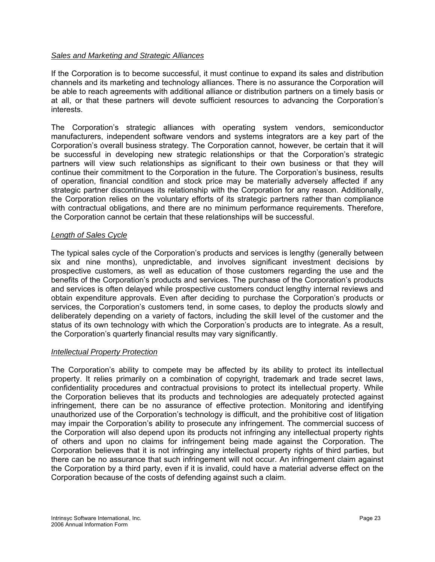#### *Sales and Marketing and Strategic Alliances*

If the Corporation is to become successful, it must continue to expand its sales and distribution channels and its marketing and technology alliances. There is no assurance the Corporation will be able to reach agreements with additional alliance or distribution partners on a timely basis or at all, or that these partners will devote sufficient resources to advancing the Corporation's interests.

The Corporation's strategic alliances with operating system vendors, semiconductor manufacturers, independent software vendors and systems integrators are a key part of the Corporation's overall business strategy. The Corporation cannot, however, be certain that it will be successful in developing new strategic relationships or that the Corporation's strategic partners will view such relationships as significant to their own business or that they will continue their commitment to the Corporation in the future. The Corporation's business, results of operation, financial condition and stock price may be materially adversely affected if any strategic partner discontinues its relationship with the Corporation for any reason. Additionally, the Corporation relies on the voluntary efforts of its strategic partners rather than compliance with contractual obligations, and there are no minimum performance requirements. Therefore, the Corporation cannot be certain that these relationships will be successful.

#### *Length of Sales Cycle*

The typical sales cycle of the Corporation's products and services is lengthy (generally between six and nine months), unpredictable, and involves significant investment decisions by prospective customers, as well as education of those customers regarding the use and the benefits of the Corporation's products and services. The purchase of the Corporation's products and services is often delayed while prospective customers conduct lengthy internal reviews and obtain expenditure approvals. Even after deciding to purchase the Corporation's products or services, the Corporation's customers tend, in some cases, to deploy the products slowly and deliberately depending on a variety of factors, including the skill level of the customer and the status of its own technology with which the Corporation's products are to integrate. As a result, the Corporation's quarterly financial results may vary significantly.

#### *Intellectual Property Protection*

The Corporation's ability to compete may be affected by its ability to protect its intellectual property. It relies primarily on a combination of copyright, trademark and trade secret laws, confidentiality procedures and contractual provisions to protect its intellectual property. While the Corporation believes that its products and technologies are adequately protected against infringement, there can be no assurance of effective protection. Monitoring and identifying unauthorized use of the Corporation's technology is difficult, and the prohibitive cost of litigation may impair the Corporation's ability to prosecute any infringement. The commercial success of the Corporation will also depend upon its products not infringing any intellectual property rights of others and upon no claims for infringement being made against the Corporation. The Corporation believes that it is not infringing any intellectual property rights of third parties, but there can be no assurance that such infringement will not occur. An infringement claim against the Corporation by a third party, even if it is invalid, could have a material adverse effect on the Corporation because of the costs of defending against such a claim.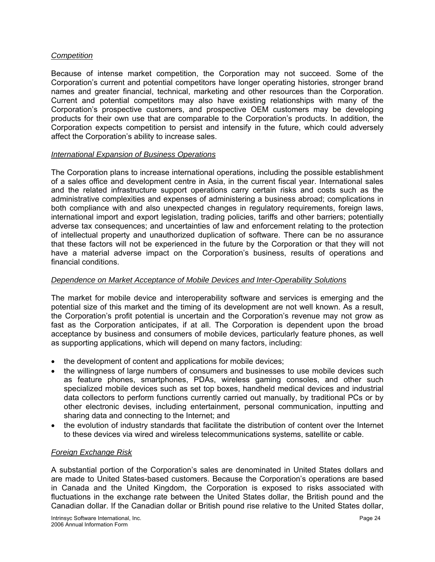#### *Competition*

Because of intense market competition, the Corporation may not succeed. Some of the Corporation's current and potential competitors have longer operating histories, stronger brand names and greater financial, technical, marketing and other resources than the Corporation. Current and potential competitors may also have existing relationships with many of the Corporation's prospective customers, and prospective OEM customers may be developing products for their own use that are comparable to the Corporation's products. In addition, the Corporation expects competition to persist and intensify in the future, which could adversely affect the Corporation's ability to increase sales.

#### *International Expansion of Business Operations*

The Corporation plans to increase international operations, including the possible establishment of a sales office and development centre in Asia, in the current fiscal year. International sales and the related infrastructure support operations carry certain risks and costs such as the administrative complexities and expenses of administering a business abroad; complications in both compliance with and also unexpected changes in regulatory requirements, foreign laws, international import and export legislation, trading policies, tariffs and other barriers; potentially adverse tax consequences; and uncertainties of law and enforcement relating to the protection of intellectual property and unauthorized duplication of software. There can be no assurance that these factors will not be experienced in the future by the Corporation or that they will not have a material adverse impact on the Corporation's business, results of operations and financial conditions.

#### *Dependence on Market Acceptance of Mobile Devices and Inter-Operability Solutions*

The market for mobile device and interoperability software and services is emerging and the potential size of this market and the timing of its development are not well known. As a result, the Corporation's profit potential is uncertain and the Corporation's revenue may not grow as fast as the Corporation anticipates, if at all. The Corporation is dependent upon the broad acceptance by business and consumers of mobile devices, particularly feature phones, as well as supporting applications, which will depend on many factors, including:

- the development of content and applications for mobile devices;
- the willingness of large numbers of consumers and businesses to use mobile devices such as feature phones, smartphones, PDAs, wireless gaming consoles, and other such specialized mobile devices such as set top boxes, handheld medical devices and industrial data collectors to perform functions currently carried out manually, by traditional PCs or by other electronic devises, including entertainment, personal communication, inputting and sharing data and connecting to the Internet; and
- the evolution of industry standards that facilitate the distribution of content over the Internet to these devices via wired and wireless telecommunications systems, satellite or cable.

## *Foreign Exchange Risk*

A substantial portion of the Corporation's sales are denominated in United States dollars and are made to United States-based customers. Because the Corporation's operations are based in Canada and the United Kingdom, the Corporation is exposed to risks associated with fluctuations in the exchange rate between the United States dollar, the British pound and the Canadian dollar. If the Canadian dollar or British pound rise relative to the United States dollar,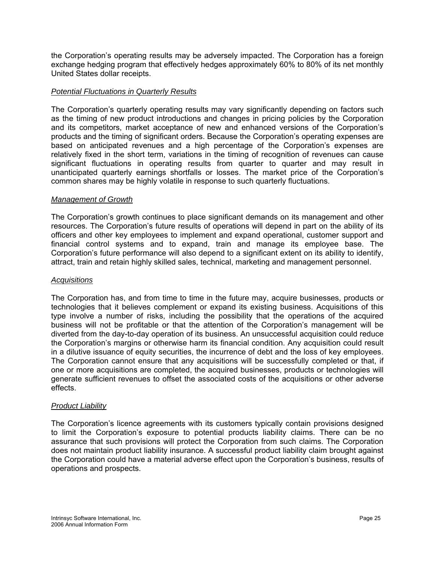the Corporation's operating results may be adversely impacted. The Corporation has a foreign exchange hedging program that effectively hedges approximately 60% to 80% of its net monthly United States dollar receipts.

## *Potential Fluctuations in Quarterly Results*

The Corporation's quarterly operating results may vary significantly depending on factors such as the timing of new product introductions and changes in pricing policies by the Corporation and its competitors, market acceptance of new and enhanced versions of the Corporation's products and the timing of significant orders. Because the Corporation's operating expenses are based on anticipated revenues and a high percentage of the Corporation's expenses are relatively fixed in the short term, variations in the timing of recognition of revenues can cause significant fluctuations in operating results from quarter to quarter and may result in unanticipated quarterly earnings shortfalls or losses. The market price of the Corporation's common shares may be highly volatile in response to such quarterly fluctuations.

#### *Management of Growth*

The Corporation's growth continues to place significant demands on its management and other resources. The Corporation's future results of operations will depend in part on the ability of its officers and other key employees to implement and expand operational, customer support and financial control systems and to expand, train and manage its employee base. The Corporation's future performance will also depend to a significant extent on its ability to identify, attract, train and retain highly skilled sales, technical, marketing and management personnel.

#### *Acquisitions*

The Corporation has, and from time to time in the future may, acquire businesses, products or technologies that it believes complement or expand its existing business. Acquisitions of this type involve a number of risks, including the possibility that the operations of the acquired business will not be profitable or that the attention of the Corporation's management will be diverted from the day-to-day operation of its business. An unsuccessful acquisition could reduce the Corporation's margins or otherwise harm its financial condition. Any acquisition could result in a dilutive issuance of equity securities, the incurrence of debt and the loss of key employees. The Corporation cannot ensure that any acquisitions will be successfully completed or that, if one or more acquisitions are completed, the acquired businesses, products or technologies will generate sufficient revenues to offset the associated costs of the acquisitions or other adverse effects.

#### *Product Liability*

The Corporation's licence agreements with its customers typically contain provisions designed to limit the Corporation's exposure to potential products liability claims. There can be no assurance that such provisions will protect the Corporation from such claims. The Corporation does not maintain product liability insurance. A successful product liability claim brought against the Corporation could have a material adverse effect upon the Corporation's business, results of operations and prospects.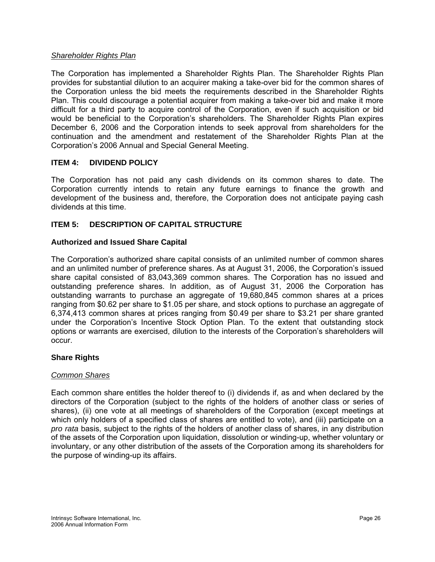#### <span id="page-27-0"></span>*Shareholder Rights Plan*

The Corporation has implemented a Shareholder Rights Plan. The Shareholder Rights Plan provides for substantial dilution to an acquirer making a take-over bid for the common shares of the Corporation unless the bid meets the requirements described in the Shareholder Rights Plan. This could discourage a potential acquirer from making a take-over bid and make it more difficult for a third party to acquire control of the Corporation, even if such acquisition or bid would be beneficial to the Corporation's shareholders. The Shareholder Rights Plan expires December 6, 2006 and the Corporation intends to seek approval from shareholders for the continuation and the amendment and restatement of the Shareholder Rights Plan at the Corporation's 2006 Annual and Special General Meeting.

#### **ITEM 4: DIVIDEND POLICY**

The Corporation has not paid any cash dividends on its common shares to date. The Corporation currently intends to retain any future earnings to finance the growth and development of the business and, therefore, the Corporation does not anticipate paying cash dividends at this time.

## **ITEM 5: DESCRIPTION OF CAPITAL STRUCTURE**

#### **Authorized and Issued Share Capital**

The Corporation's authorized share capital consists of an unlimited number of common shares and an unlimited number of preference shares. As at August 31, 2006, the Corporation's issued share capital consisted of 83,043,369 common shares. The Corporation has no issued and outstanding preference shares. In addition, as of August 31, 2006 the Corporation has outstanding warrants to purchase an aggregate of 19,680,845 common shares at a prices ranging from \$0.62 per share to \$1.05 per share, and stock options to purchase an aggregate of 6,374,413 common shares at prices ranging from \$0.49 per share to \$3.21 per share granted under the Corporation's Incentive Stock Option Plan. To the extent that outstanding stock options or warrants are exercised, dilution to the interests of the Corporation's shareholders will occur.

#### **Share Rights**

#### *Common Shares*

Each common share entitles the holder thereof to (i) dividends if, as and when declared by the directors of the Corporation (subject to the rights of the holders of another class or series of shares), (ii) one vote at all meetings of shareholders of the Corporation (except meetings at which only holders of a specified class of shares are entitled to vote), and (iii) participate on a *pro rata* basis, subject to the rights of the holders of another class of shares, in any distribution of the assets of the Corporation upon liquidation, dissolution or winding-up, whether voluntary or involuntary, or any other distribution of the assets of the Corporation among its shareholders for the purpose of winding-up its affairs.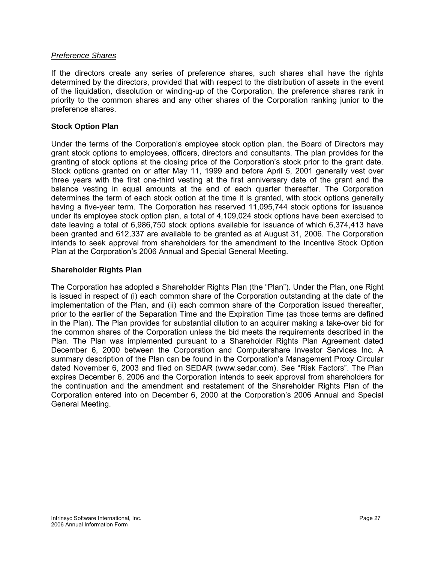#### <span id="page-28-0"></span>*Preference Shares*

If the directors create any series of preference shares, such shares shall have the rights determined by the directors, provided that with respect to the distribution of assets in the event of the liquidation, dissolution or winding-up of the Corporation, the preference shares rank in priority to the common shares and any other shares of the Corporation ranking junior to the preference shares.

#### **Stock Option Plan**

Under the terms of the Corporation's employee stock option plan, the Board of Directors may grant stock options to employees, officers, directors and consultants. The plan provides for the granting of stock options at the closing price of the Corporation's stock prior to the grant date. Stock options granted on or after May 11, 1999 and before April 5, 2001 generally vest over three years with the first one-third vesting at the first anniversary date of the grant and the balance vesting in equal amounts at the end of each quarter thereafter. The Corporation determines the term of each stock option at the time it is granted, with stock options generally having a five-year term. The Corporation has reserved 11,095,744 stock options for issuance under its employee stock option plan, a total of 4,109,024 stock options have been exercised to date leaving a total of 6,986,750 stock options available for issuance of which 6,374,413 have been granted and 612,337 are available to be granted as at August 31, 2006. The Corporation intends to seek approval from shareholders for the amendment to the Incentive Stock Option Plan at the Corporation's 2006 Annual and Special General Meeting.

#### **Shareholder Rights Plan**

The Corporation has adopted a Shareholder Rights Plan (the "Plan"). Under the Plan, one Right is issued in respect of (i) each common share of the Corporation outstanding at the date of the implementation of the Plan, and (ii) each common share of the Corporation issued thereafter, prior to the earlier of the Separation Time and the Expiration Time (as those terms are defined in the Plan). The Plan provides for substantial dilution to an acquirer making a take-over bid for the common shares of the Corporation unless the bid meets the requirements described in the Plan. The Plan was implemented pursuant to a Shareholder Rights Plan Agreement dated December 6, 2000 between the Corporation and Computershare Investor Services Inc. A summary description of the Plan can be found in the Corporation's Management Proxy Circular dated November 6, 2003 and filed on SEDAR (www.sedar.com). See "Risk Factors". The Plan expires December 6, 2006 and the Corporation intends to seek approval from shareholders for the continuation and the amendment and restatement of the Shareholder Rights Plan of the Corporation entered into on December 6, 2000 at the Corporation's 2006 Annual and Special General Meeting.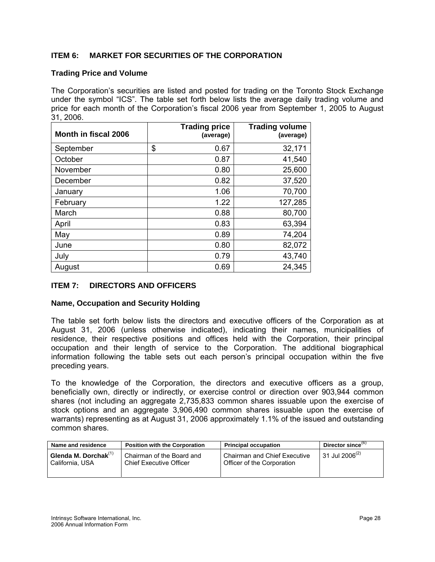# <span id="page-29-0"></span>**ITEM 6: MARKET FOR SECURITIES OF THE CORPORATION**

#### **Trading Price and Volume**

The Corporation's securities are listed and posted for trading on the Toronto Stock Exchange under the symbol "ICS". The table set forth below lists the average daily trading volume and price for each month of the Corporation's fiscal 2006 year from September 1, 2005 to August 31, 2006.

| Month in fiscal 2006 | <b>Trading price</b><br>(average) | <b>Trading volume</b><br>(average) |
|----------------------|-----------------------------------|------------------------------------|
| September            | \$<br>0.67                        | 32,171                             |
| October              | 0.87                              | 41,540                             |
| November             | 0.80                              | 25,600                             |
| December             | 0.82                              | 37,520                             |
| January              | 1.06                              | 70,700                             |
| February             | 1.22                              | 127,285                            |
| March                | 0.88                              | 80,700                             |
| April                | 0.83                              | 63,394                             |
| May                  | 0.89                              | 74,204                             |
| June                 | 0.80                              | 82,072                             |
| July                 | 0.79                              | 43,740                             |
| August               | 0.69                              | 24,345                             |

## **ITEM 7: DIRECTORS AND OFFICERS**

#### **Name, Occupation and Security Holding**

The table set forth below lists the directors and executive officers of the Corporation as at August 31, 2006 (unless otherwise indicated), indicating their names, municipalities of residence, their respective positions and offices held with the Corporation, their principal occupation and their length of service to the Corporation. The additional biographical information following the table sets out each person's principal occupation within the five preceding years.

To the knowledge of the Corporation, the directors and executive officers as a group, beneficially own, directly or indirectly, or exercise control or direction over 903,944 common shares (not including an aggregate 2,735,833 common shares issuable upon the exercise of stock options and an aggregate 3,906,490 common shares issuable upon the exercise of warrants) representing as at August 31, 2006 approximately 1.1% of the issued and outstanding common shares.

| Name and residence         | <b>Position with the Corporation</b> | <b>Principal occupation</b>         | Director since $(6)$       |
|----------------------------|--------------------------------------|-------------------------------------|----------------------------|
| Glenda M. Dorchak $^{(1)}$ | Chairman of the Board and            | <b>Chairman and Chief Executive</b> | 31 Jul 2006 <sup>(2)</sup> |
| California, USA            | <b>Chief Executive Officer</b>       | Officer of the Corporation          |                            |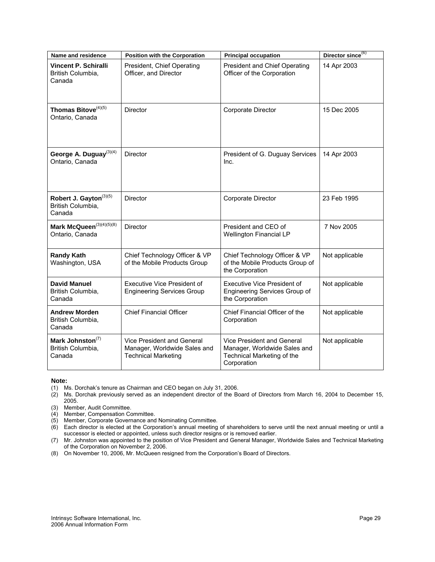| Name and residence                                                | <b>Position with the Corporation</b>                                                     | <b>Principal occupation</b>                                                                             | Director since <sup>(6)</sup> |
|-------------------------------------------------------------------|------------------------------------------------------------------------------------------|---------------------------------------------------------------------------------------------------------|-------------------------------|
| Vincent P. Schiralli<br>British Columbia,<br>Canada               | President, Chief Operating<br>Officer, and Director                                      | <b>President and Chief Operating</b><br>Officer of the Corporation                                      | 14 Apr 2003                   |
| Thomas Bitove <sup>(4)(5)</sup><br>Ontario, Canada                | <b>Director</b>                                                                          | Corporate Director                                                                                      | 15 Dec 2005                   |
| George A. Duguay <sup>(3)(4)</sup><br>Ontario, Canada             | <b>Director</b>                                                                          | President of G. Duguay Services<br>Inc.                                                                 | 14 Apr 2003                   |
| Robert J. Gayton <sup>(3)(5)</sup><br>British Columbia,<br>Canada | <b>Director</b>                                                                          | Corporate Director                                                                                      | 23 Feb 1995                   |
| Mark McQueen <sup>(3)(4)(5)(8)</sup><br>Ontario, Canada           | <b>Director</b>                                                                          | President and CEO of<br>Wellington Financial LP                                                         | 7 Nov 2005                    |
| <b>Randy Kath</b><br>Washington, USA                              | Chief Technology Officer & VP<br>of the Mobile Products Group                            | Chief Technology Officer & VP<br>of the Mobile Products Group of<br>the Corporation                     | Not applicable                |
| <b>David Manuel</b><br>British Columbia,<br>Canada                | <b>Executive Vice President of</b><br><b>Engineering Services Group</b>                  | <b>Executive Vice President of</b><br><b>Engineering Services Group of</b><br>the Corporation           | Not applicable                |
| <b>Andrew Morden</b><br>British Columbia,<br>Canada               | <b>Chief Financial Officer</b>                                                           | Chief Financial Officer of the<br>Corporation                                                           | Not applicable                |
| Mark Johnston <sup>(7)</sup><br>British Columbia,<br>Canada       | Vice President and General<br>Manager, Worldwide Sales and<br><b>Technical Marketing</b> | Vice President and General<br>Manager, Worldwide Sales and<br>Technical Marketing of the<br>Corporation | Not applicable                |

#### **Note:**

(1) Ms. Dorchak's tenure as Chairman and CEO began on July 31, 2006.

- (2) Ms. Dorchak previously served as an independent director of the Board of Directors from March 16, 2004 to December 15, 2005.
- (3) Member, Audit Committee.
- (4) Member, Compensation Committee.
- (5) Member, Corporate Governance and Nominating Committee.
- (6) Each director is elected at the Corporation's annual meeting of shareholders to serve until the next annual meeting or until a successor is elected or appointed, unless such director resigns or is removed earlier.
- (7) Mr. Johnston was appointed to the position of Vice President and General Manager, Worldwide Sales and Technical Marketing of the Corporation on November 2, 2006.
- (8) On November 10, 2006, Mr. McQueen resigned from the Corporation's Board of Directors.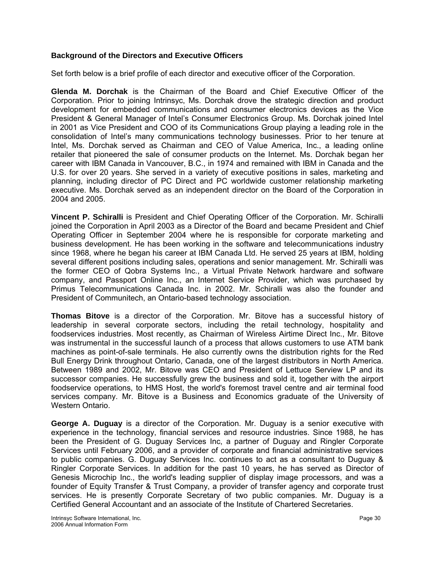## **Background of the Directors and Executive Officers**

Set forth below is a brief profile of each director and executive officer of the Corporation.

**Glenda M. Dorchak** is the Chairman of the Board and Chief Executive Officer of the Corporation. Prior to joining Intrinsyc, Ms. Dorchak drove the strategic direction and product development for embedded communications and consumer electronics devices as the Vice President & General Manager of Intel's Consumer Electronics Group. Ms. Dorchak joined Intel in 2001 as Vice President and COO of its Communications Group playing a leading role in the consolidation of Intel's many communications technology businesses. Prior to her tenure at Intel, Ms. Dorchak served as Chairman and CEO of Value America, Inc., a leading online retailer that pioneered the sale of consumer products on the Internet. Ms. Dorchak began her career with IBM Canada in Vancouver, B.C., in 1974 and remained with IBM in Canada and the U.S. for over 20 years. She served in a variety of executive positions in sales, marketing and planning, including director of PC Direct and PC worldwide customer relationship marketing executive. Ms. Dorchak served as an independent director on the Board of the Corporation in 2004 and 2005.

**Vincent P. Schiralli** is President and Chief Operating Officer of the Corporation. Mr. Schiralli joined the Corporation in April 2003 as a Director of the Board and became President and Chief Operating Officer in September 2004 where he is responsible for corporate marketing and business development. He has been working in the software and telecommunications industry since 1968, where he began his career at IBM Canada Ltd. He served 25 years at IBM, holding several different positions including sales, operations and senior management. Mr. Schiralli was the former CEO of Qobra Systems Inc., a Virtual Private Network hardware and software company, and Passport Online Inc., an Internet Service Provider, which was purchased by Primus Telecommunications Canada Inc. in 2002. Mr. Schiralli was also the founder and President of Communitech, an Ontario-based technology association.

**Thomas Bitove** is a director of the Corporation. Mr. Bitove has a successful history of leadership in several corporate sectors, including the retail technology, hospitality and foodservices industries. Most recently, as Chairman of Wireless Airtime Direct Inc., Mr. Bitove was instrumental in the successful launch of a process that allows customers to use ATM bank machines as point-of-sale terminals. He also currently owns the distribution rights for the Red Bull Energy Drink throughout Ontario, Canada, one of the largest distributors in North America. Between 1989 and 2002, Mr. Bitove was CEO and President of Lettuce Serview LP and its successor companies. He successfully grew the business and sold it, together with the airport foodservice operations, to HMS Host, the world's foremost travel centre and air terminal food services company. Mr. Bitove is a Business and Economics graduate of the University of Western Ontario.

**George A. Duguay** is a director of the Corporation. Mr. Duguay is a senior executive with experience in the technology, financial services and resource industries. Since 1988, he has been the President of G. Duguay Services Inc, a partner of Duguay and Ringler Corporate Services until February 2006, and a provider of corporate and financial administrative services to public companies. G. Duguay Services Inc. continues to act as a consultant to Duguay & Ringler Corporate Services. In addition for the past 10 years, he has served as Director of Genesis Microchip Inc., the world's leading supplier of display image processors, and was a founder of Equity Transfer & Trust Company, a provider of transfer agency and corporate trust services. He is presently Corporate Secretary of two public companies. Mr. Duguay is a Certified General Accountant and an associate of the Institute of Chartered Secretaries.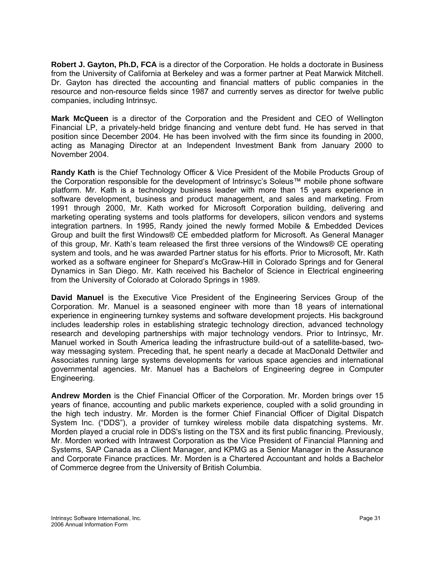**Robert J. Gayton, Ph.D, FCA** is a director of the Corporation. He holds a doctorate in Business from the University of California at Berkeley and was a former partner at Peat Marwick Mitchell. Dr. Gayton has directed the accounting and financial matters of public companies in the resource and non-resource fields since 1987 and currently serves as director for twelve public companies, including Intrinsyc.

**Mark McQueen** is a director of the Corporation and the President and CEO of Wellington Financial LP, a privately-held bridge financing and venture debt fund. He has served in that position since December 2004. He has been involved with the firm since its founding in 2000, acting as Managing Director at an Independent Investment Bank from January 2000 to November 2004.

**Randy Kath** is the Chief Technology Officer & Vice President of the Mobile Products Group of the Corporation responsible for the development of Intrinsyc's Soleus™ mobile phone software platform. Mr. Kath is a technology business leader with more than 15 years experience in software development, business and product management, and sales and marketing. From 1991 through 2000, Mr. Kath worked for Microsoft Corporation building, delivering and marketing operating systems and tools platforms for developers, silicon vendors and systems integration partners. In 1995, Randy joined the newly formed Mobile & Embedded Devices Group and built the first Windows® CE embedded platform for Microsoft. As General Manager of this group, Mr. Kath's team released the first three versions of the Windows® CE operating system and tools, and he was awarded Partner status for his efforts. Prior to Microsoft, Mr. Kath worked as a software engineer for Shepard's McGraw-Hill in Colorado Springs and for General Dynamics in San Diego. Mr. Kath received his Bachelor of Science in Electrical engineering from the University of Colorado at Colorado Springs in 1989.

**David Manuel** is the Executive Vice President of the Engineering Services Group of the Corporation. Mr. Manuel is a seasoned engineer with more than 18 years of international experience in engineering turnkey systems and software development projects. His background includes leadership roles in establishing strategic technology direction, advanced technology research and developing partnerships with major technology vendors. Prior to Intrinsyc, Mr. Manuel worked in South America leading the infrastructure build-out of a satellite-based, twoway messaging system. Preceding that, he spent nearly a decade at MacDonald Dettwiler and Associates running large systems developments for various space agencies and international governmental agencies. Mr. Manuel has a Bachelors of Engineering degree in Computer Engineering.

**Andrew Morden** is the Chief Financial Officer of the Corporation. Mr. Morden brings over 15 years of finance, accounting and public markets experience, coupled with a solid grounding in the high tech industry. Mr. Morden is the former Chief Financial Officer of Digital Dispatch System Inc. ("DDS"), a provider of turnkey wireless mobile data dispatching systems. Mr. Morden played a crucial role in DDS's listing on the TSX and its first public financing. Previously, Mr. Morden worked with Intrawest Corporation as the Vice President of Financial Planning and Systems, SAP Canada as a Client Manager, and KPMG as a Senior Manager in the Assurance and Corporate Finance practices. Mr. Morden is a Chartered Accountant and holds a Bachelor of Commerce degree from the University of British Columbia.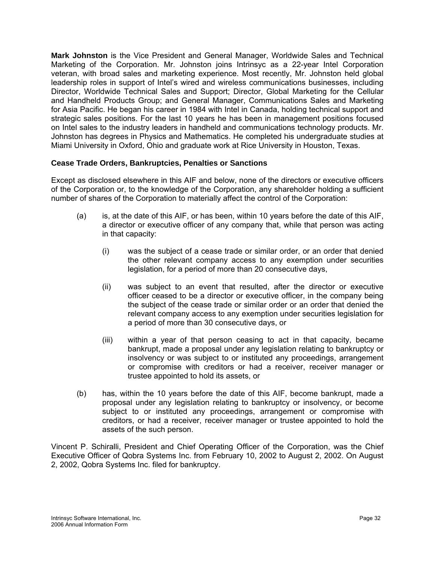<span id="page-33-0"></span>**Mark Johnston** is the Vice President and General Manager, Worldwide Sales and Technical Marketing of the Corporation. Mr. Johnston joins Intrinsyc as a 22-year Intel Corporation veteran, with broad sales and marketing experience. Most recently, Mr. Johnston held global leadership roles in support of Intel's wired and wireless communications businesses, including Director, Worldwide Technical Sales and Support; Director, Global Marketing for the Cellular and Handheld Products Group; and General Manager, Communications Sales and Marketing for Asia Pacific. He began his career in 1984 with Intel in Canada, holding technical support and strategic sales positions. For the last 10 years he has been in management positions focused on Intel sales to the industry leaders in handheld and communications technology products. Mr. Johnston has degrees in Physics and Mathematics. He completed his undergraduate studies at Miami University in Oxford, Ohio and graduate work at Rice University in Houston, Texas.

# **Cease Trade Orders, Bankruptcies, Penalties or Sanctions**

Except as disclosed elsewhere in this AIF and below, none of the directors or executive officers of the Corporation or, to the knowledge of the Corporation, any shareholder holding a sufficient number of shares of the Corporation to materially affect the control of the Corporation:

- (a) is, at the date of this AIF, or has been, within 10 years before the date of this AIF, a director or executive officer of any company that, while that person was acting in that capacity:
	- (i) was the subject of a cease trade or similar order, or an order that denied the other relevant company access to any exemption under securities legislation, for a period of more than 20 consecutive days,
	- (ii) was subject to an event that resulted, after the director or executive officer ceased to be a director or executive officer, in the company being the subject of the cease trade or similar order or an order that denied the relevant company access to any exemption under securities legislation for a period of more than 30 consecutive days, or
	- (iii) within a year of that person ceasing to act in that capacity, became bankrupt, made a proposal under any legislation relating to bankruptcy or insolvency or was subject to or instituted any proceedings, arrangement or compromise with creditors or had a receiver, receiver manager or trustee appointed to hold its assets, or
- (b) has, within the 10 years before the date of this AIF, become bankrupt, made a proposal under any legislation relating to bankruptcy or insolvency, or become subject to or instituted any proceedings, arrangement or compromise with creditors, or had a receiver, receiver manager or trustee appointed to hold the assets of the such person.

Vincent P. Schiralli, President and Chief Operating Officer of the Corporation, was the Chief Executive Officer of Qobra Systems Inc. from February 10, 2002 to August 2, 2002. On August 2, 2002, Qobra Systems Inc. filed for bankruptcy.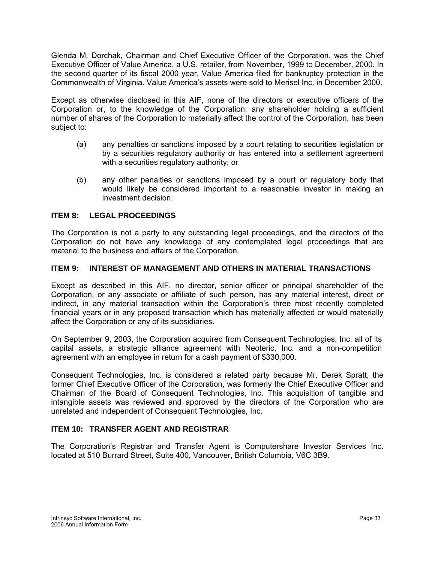<span id="page-34-0"></span>Glenda M. Dorchak, Chairman and Chief Executive Officer of the Corporation, was the Chief Executive Officer of Value America, a U.S. retailer, from November, 1999 to December, 2000. In the second quarter of its fiscal 2000 year, Value America filed for bankruptcy protection in the Commonwealth of Virginia. Value America's assets were sold to Merisel Inc. in December 2000.

Except as otherwise disclosed in this AIF, none of the directors or executive officers of the Corporation or, to the knowledge of the Corporation, any shareholder holding a sufficient number of shares of the Corporation to materially affect the control of the Corporation, has been subject to:

- (a) any penalties or sanctions imposed by a court relating to securities legislation or by a securities regulatory authority or has entered into a settlement agreement with a securities regulatory authority; or
- (b) any other penalties or sanctions imposed by a court or regulatory body that would likely be considered important to a reasonable investor in making an investment decision.

## **ITEM 8: LEGAL PROCEEDINGS**

The Corporation is not a party to any outstanding legal proceedings, and the directors of the Corporation do not have any knowledge of any contemplated legal proceedings that are material to the business and affairs of the Corporation.

#### **ITEM 9: INTEREST OF MANAGEMENT AND OTHERS IN MATERIAL TRANSACTIONS**

Except as described in this AIF, no director, senior officer or principal shareholder of the Corporation, or any associate or affiliate of such person, has any material interest, direct or indirect, in any material transaction within the Corporation's three most recently completed financial years or in any proposed transaction which has materially affected or would materially affect the Corporation or any of its subsidiaries.

On September 9, 2003, the Corporation acquired from Consequent Technologies, Inc. all of its capital assets, a strategic alliance agreement with Neoteric, Inc. and a non-competition agreement with an employee in return for a cash payment of \$330,000.

Consequent Technologies, Inc. is considered a related party because Mr. Derek Spratt, the former Chief Executive Officer of the Corporation, was formerly the Chief Executive Officer and Chairman of the Board of Consequent Technologies, Inc. This acquisition of tangible and intangible assets was reviewed and approved by the directors of the Corporation who are unrelated and independent of Consequent Technologies, Inc.

## **ITEM 10: TRANSFER AGENT AND REGISTRAR**

The Corporation's Registrar and Transfer Agent is Computershare Investor Services Inc. located at 510 Burrard Street, Suite 400, Vancouver, British Columbia, V6C 3B9.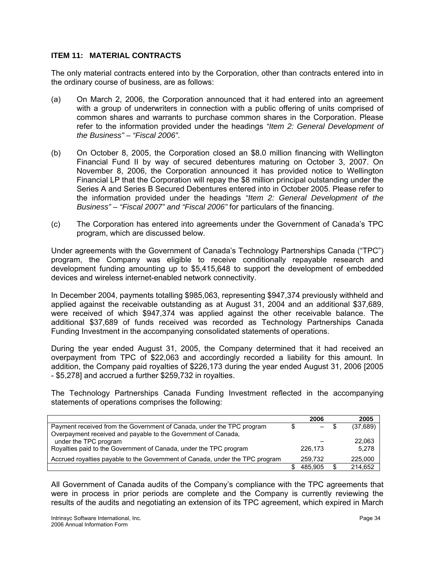## <span id="page-35-0"></span>**ITEM 11: MATERIAL CONTRACTS**

The only material contracts entered into by the Corporation, other than contracts entered into in the ordinary course of business, are as follows:

- (a) On March 2, 2006, the Corporation announced that it had entered into an agreement with a group of underwriters in connection with a public offering of units comprised of common shares and warrants to purchase common shares in the Corporation. Please refer to the information provided under the headings *"Item 2: General Development of the Business" – "Fiscal 2006"*.
- (b) On October 8, 2005, the Corporation closed an \$8.0 million financing with Wellington Financial Fund II by way of secured debentures maturing on October 3, 2007. On November 8, 2006, the Corporation announced it has provided notice to Wellington Financial LP that the Corporation will repay the \$8 million principal outstanding under the Series A and Series B Secured Debentures entered into in October 2005. Please refer to the information provided under the headings *"Item 2: General Development of the Business" – "Fiscal 2007" and "Fiscal 2006"* for particulars of the financing.
- (c) The Corporation has entered into agreements under the Government of Canada's TPC program, which are discussed below.

Under agreements with the Government of Canada's Technology Partnerships Canada ("TPC") program, the Company was eligible to receive conditionally repayable research and development funding amounting up to \$5,415,648 to support the development of embedded devices and wireless internet-enabled network connectivity.

In December 2004, payments totalling \$985,063, representing \$947,374 previously withheld and applied against the receivable outstanding as at August 31, 2004 and an additional \$37,689, were received of which \$947,374 was applied against the other receivable balance. The additional \$37,689 of funds received was recorded as Technology Partnerships Canada Funding Investment in the accompanying consolidated statements of operations.

During the year ended August 31, 2005, the Company determined that it had received an overpayment from TPC of \$22,063 and accordingly recorded a liability for this amount. In addition, the Company paid royalties of \$226,173 during the year ended August 31, 2006 [2005 - \$5,278] and accrued a further \$259,732 in royalties.

The Technology Partnerships Canada Funding Investment reflected in the accompanying statements of operations comprises the following:

|                                                                              | 2006    | 2005     |
|------------------------------------------------------------------------------|---------|----------|
| Payment received from the Government of Canada, under the TPC program        | — S     | (37,689) |
| Overpayment received and payable to the Government of Canada,                |         |          |
| under the TPC program                                                        |         | 22,063   |
| Royalties paid to the Government of Canada, under the TPC program            | 226.173 | 5.278    |
| Accrued royalties payable to the Government of Canada, under the TPC program | 259.732 | 225,000  |
|                                                                              | 485.905 | 214.652  |

All Government of Canada audits of the Company's compliance with the TPC agreements that were in process in prior periods are complete and the Company is currently reviewing the results of the audits and negotiating an extension of its TPC agreement, which expired in March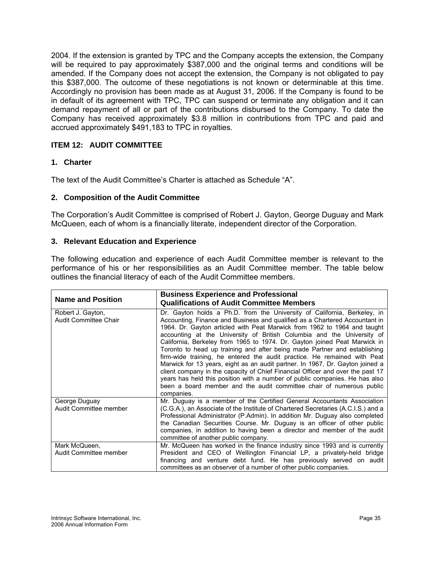<span id="page-36-0"></span>2004. If the extension is granted by TPC and the Company accepts the extension, the Company will be required to pay approximately \$387,000 and the original terms and conditions will be amended. If the Company does not accept the extension, the Company is not obligated to pay this \$387,000. The outcome of these negotiations is not known or determinable at this time. Accordingly no provision has been made as at August 31, 2006. If the Company is found to be in default of its agreement with TPC, TPC can suspend or terminate any obligation and it can demand repayment of all or part of the contributions disbursed to the Company. To date the Company has received approximately \$3.8 million in contributions from TPC and paid and accrued approximately \$491,183 to TPC in royalties.

## **ITEM 12: AUDIT COMMITTEE**

## **1. Charter**

The text of the Audit Committee's Charter is attached as Schedule "A".

#### **2. Composition of the Audit Committee**

The Corporation's Audit Committee is comprised of Robert J. Gayton, George Duguay and Mark McQueen, each of whom is a financially literate, independent director of the Corporation.

#### **3. Relevant Education and Experience**

The following education and experience of each Audit Committee member is relevant to the performance of his or her responsibilities as an Audit Committee member. The table below outlines the financial literacy of each of the Audit Committee members.

|                                            | <b>Business Experience and Professional</b>                                                                                                                                                                                                                                                                                                                                                                                                                                                                                                                                                                                                                                                                                                                                                                                                                                                 |
|--------------------------------------------|---------------------------------------------------------------------------------------------------------------------------------------------------------------------------------------------------------------------------------------------------------------------------------------------------------------------------------------------------------------------------------------------------------------------------------------------------------------------------------------------------------------------------------------------------------------------------------------------------------------------------------------------------------------------------------------------------------------------------------------------------------------------------------------------------------------------------------------------------------------------------------------------|
| <b>Name and Position</b>                   | <b>Qualifications of Audit Committee Members</b>                                                                                                                                                                                                                                                                                                                                                                                                                                                                                                                                                                                                                                                                                                                                                                                                                                            |
| Robert J. Gayton,<br>Audit Committee Chair | Dr. Gayton holds a Ph.D. from the University of California, Berkeley, in<br>Accounting, Finance and Business and qualified as a Chartered Accountant in<br>1964. Dr. Gayton articled with Peat Marwick from 1962 to 1964 and taught<br>accounting at the University of British Columbia and the University of<br>California, Berkeley from 1965 to 1974. Dr. Gayton joined Peat Marwick in<br>Toronto to head up training and after being made Partner and establishing<br>firm-wide training, he entered the audit practice. He remained with Peat<br>Marwick for 13 years, eight as an audit partner. In 1967, Dr. Gayton joined a<br>client company in the capacity of Chief Financial Officer and over the past 17<br>years has held this position with a number of public companies. He has also<br>been a board member and the audit committee chair of numerous public<br>companies. |
| George Duguay<br>Audit Committee member    | Mr. Duguay is a member of the Certified General Accountants Association<br>(C.G.A.), an Associate of the Institute of Chartered Secretaries (A.C.I.S.) and a<br>Professional Administrator (P.Admin). In addition Mr. Duguay also completed<br>the Canadian Securities Course. Mr. Duguay is an officer of other public<br>companies, in addition to having been a director and member of the audit<br>committee of another public company.                                                                                                                                                                                                                                                                                                                                                                                                                                                 |
| Mark McQueen,<br>Audit Committee member    | Mr. McQueen has worked in the finance industry since 1993 and is currently<br>President and CEO of Wellington Financial LP, a privately-held bridge<br>financing and venture debt fund. He has previously served on audit<br>committees as an observer of a number of other public companies.                                                                                                                                                                                                                                                                                                                                                                                                                                                                                                                                                                                               |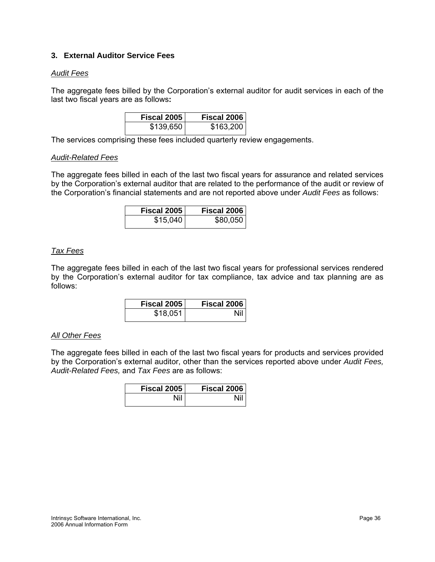## <span id="page-37-0"></span>**3. External Auditor Service Fees**

#### *Audit Fees*

The aggregate fees billed by the Corporation's external auditor for audit services in each of the last two fiscal years are as follows**:**

| <b>Fiscal 2005</b> | <b>Fiscal 2006</b> |
|--------------------|--------------------|
| \$139,650          | \$163,200          |

The services comprising these fees included quarterly review engagements.

#### *Audit-Related Fees*

The aggregate fees billed in each of the last two fiscal years for assurance and related services by the Corporation's external auditor that are related to the performance of the audit or review of the Corporation's financial statements and are not reported above under *Audit Fees* as follows:

| Fiscal 2005 | Fiscal 2006 |
|-------------|-------------|
| \$15,040    | \$80,050    |

## *Tax Fees*

The aggregate fees billed in each of the last two fiscal years for professional services rendered by the Corporation's external auditor for tax compliance, tax advice and tax planning are as follows:

| Fiscal 2005 | Fiscal 2006 |
|-------------|-------------|
| \$18,051    | Nil         |

#### *All Other Fees*

The aggregate fees billed in each of the last two fiscal years for products and services provided by the Corporation's external auditor, other than the services reported above under *Audit Fees, Audit-Related Fees,* and *Tax Fees* are as follows:

| Fiscal 2005 | Fiscal 2006 |
|-------------|-------------|
| Nil         | Ni'         |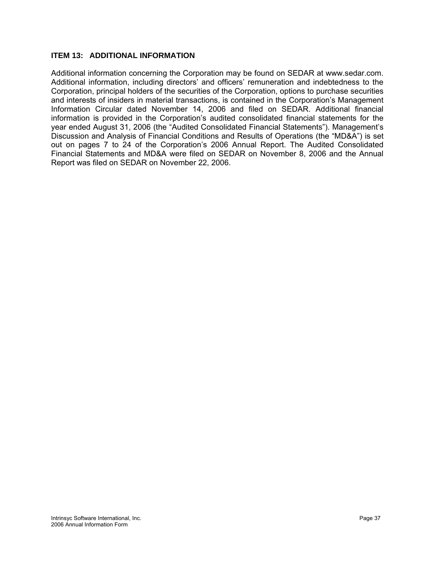# <span id="page-38-0"></span>**ITEM 13: ADDITIONAL INFORMATION**

Additional information concerning the Corporation may be found on SEDAR at www.sedar.com. Additional information, including directors' and officers' remuneration and indebtedness to the Corporation, principal holders of the securities of the Corporation, options to purchase securities and interests of insiders in material transactions, is contained in the Corporation's Management Information Circular dated November 14, 2006 and filed on SEDAR. Additional financial information is provided in the Corporation's audited consolidated financial statements for the year ended August 31, 2006 (the "Audited Consolidated Financial Statements"). Management's Discussion and Analysis of Financial Conditions and Results of Operations (the "MD&A") is set out on pages 7 to 24 of the Corporation's 2006 Annual Report. The Audited Consolidated Financial Statements and MD&A were filed on SEDAR on November 8, 2006 and the Annual Report was filed on SEDAR on November 22, 2006.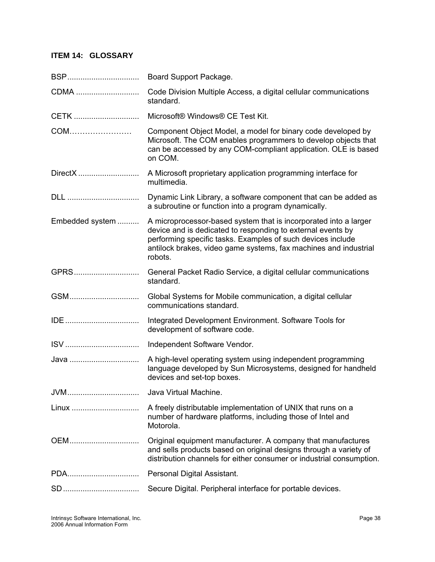# <span id="page-39-0"></span>**ITEM 14: GLOSSARY**

| BSP             | Board Support Package.                                                                                                                                                                                                                                                        |
|-----------------|-------------------------------------------------------------------------------------------------------------------------------------------------------------------------------------------------------------------------------------------------------------------------------|
| CDMA            | Code Division Multiple Access, a digital cellular communications<br>standard.                                                                                                                                                                                                 |
| CETK            | Microsoft® Windows® CE Test Kit.                                                                                                                                                                                                                                              |
| COM             | Component Object Model, a model for binary code developed by<br>Microsoft. The COM enables programmers to develop objects that<br>can be accessed by any COM-compliant application. OLE is based<br>on COM.                                                                   |
| DirectX         | A Microsoft proprietary application programming interface for<br>multimedia.                                                                                                                                                                                                  |
| DLL             | Dynamic Link Library, a software component that can be added as<br>a subroutine or function into a program dynamically.                                                                                                                                                       |
| Embedded system | A microprocessor-based system that is incorporated into a larger<br>device and is dedicated to responding to external events by<br>performing specific tasks. Examples of such devices include<br>antilock brakes, video game systems, fax machines and industrial<br>robots. |
| GPRS            | General Packet Radio Service, a digital cellular communications<br>standard.                                                                                                                                                                                                  |
| GSM             | Global Systems for Mobile communication, a digital cellular<br>communications standard.                                                                                                                                                                                       |
| IDE             | Integrated Development Environment. Software Tools for<br>development of software code.                                                                                                                                                                                       |
|                 | Independent Software Vendor.                                                                                                                                                                                                                                                  |
| Java            | A high-level operating system using independent programming<br>language developed by Sun Microsystems, designed for handheld<br>devices and set-top boxes.                                                                                                                    |
| JVM             | Java Virtual Machine.                                                                                                                                                                                                                                                         |
| Linux           | A freely distributable implementation of UNIX that runs on a<br>number of hardware platforms, including those of Intel and<br>Motorola.                                                                                                                                       |
| OEM             | Original equipment manufacturer. A company that manufactures<br>and sells products based on original designs through a variety of<br>distribution channels for either consumer or industrial consumption.                                                                     |
| PDA             | Personal Digital Assistant.                                                                                                                                                                                                                                                   |
|                 | Secure Digital. Peripheral interface for portable devices.                                                                                                                                                                                                                    |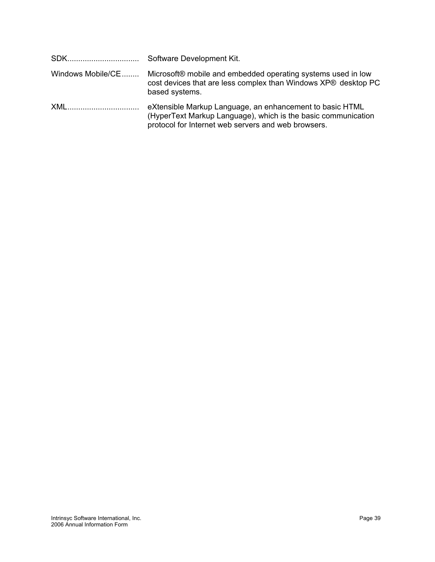| Windows Mobile/CE | Microsoft® mobile and embedded operating systems used in low<br>cost devices that are less complex than Windows XP® desktop PC<br>based systems.                                 |
|-------------------|----------------------------------------------------------------------------------------------------------------------------------------------------------------------------------|
| XML               | eXtensible Markup Language, an enhancement to basic HTML<br>(HyperText Markup Language), which is the basic communication<br>protocol for Internet web servers and web browsers. |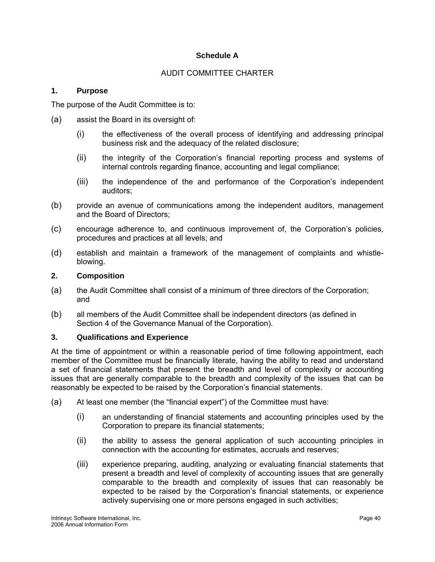## **Schedule A**

## AUDIT COMMITTEE CHARTER

## **1. Purpose**

The purpose of the Audit Committee is to:

- (a) assist the Board in its oversight of:
	- (i) the effectiveness of the overall process of identifying and addressing principal business risk and the adequacy of the related disclosure;
	- (ii) the integrity of the Corporation's financial reporting process and systems of internal controls regarding finance, accounting and legal compliance;
	- (iii) the independence of the and performance of the Corporation's independent auditors;
- (b) provide an avenue of communications among the independent auditors, management and the Board of Directors;
- (c) encourage adherence to, and continuous improvement of, the Corporation's policies, procedures and practices at all levels; and
- (d) establish and maintain a framework of the management of complaints and whistleblowing.

## **2. Composition**

- (a) the Audit Committee shall consist of a minimum of three directors of the Corporation; and
- (b) all members of the Audit Committee shall be independent directors (as defined in Section 4 of the Governance Manual of the Corporation).

#### **3. Qualifications and Experience**

At the time of appointment or within a reasonable period of time following appointment, each member of the Committee must be financially literate, having the ability to read and understand a set of financial statements that present the breadth and level of complexity or accounting issues that are generally comparable to the breadth and complexity of the issues that can be reasonably be expected to be raised by the Corporation's financial statements.

- (a) At least one member (the "financial expert") of the Committee must have:
	- (i) an understanding of financial statements and accounting principles used by the Corporation to prepare its financial statements;
	- (ii) the ability to assess the general application of such accounting principles in connection with the accounting for estimates, accruals and reserves;
	- (iii) experience preparing, auditing, analyzing or evaluating financial statements that present a breadth and level of complexity of accounting issues that are generally comparable to the breadth and complexity of issues that can reasonably be expected to be raised by the Corporation's financial statements, or experience actively supervising one or more persons engaged in such activities;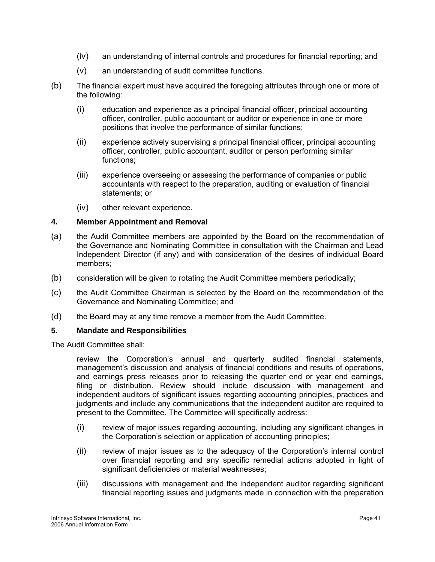- (iv) an understanding of internal controls and procedures for financial reporting; and
- (v) an understanding of audit committee functions.
- (b) The financial expert must have acquired the foregoing attributes through one or more of the following:
	- (i) education and experience as a principal financial officer, principal accounting officer, controller, public accountant or auditor or experience in one or more positions that involve the performance of similar functions;
	- (ii) experience actively supervising a principal financial officer, principal accounting officer, controller, public accountant, auditor or person performing similar functions;
	- (iii) experience overseeing or assessing the performance of companies or public accountants with respect to the preparation, auditing or evaluation of financial statements; or
	- (iv) other relevant experience.

#### **4. Member Appointment and Removal**

- (a) the Audit Committee members are appointed by the Board on the recommendation of the Governance and Nominating Committee in consultation with the Chairman and Lead Independent Director (if any) and with consideration of the desires of individual Board members;
- (b) consideration will be given to rotating the Audit Committee members periodically;
- (c) the Audit Committee Chairman is selected by the Board on the recommendation of the Governance and Nominating Committee; and
- (d) the Board may at any time remove a member from the Audit Committee.

#### **5. Mandate and Responsibilities**

The Audit Committee shall:

 review the Corporation's annual and quarterly audited financial statements, management's discussion and analysis of financial conditions and results of operations, and earnings press releases prior to releasing the quarter end or year end earnings, filing or distribution. Review should include discussion with management and independent auditors of significant issues regarding accounting principles, practices and judgments and include any communications that the independent auditor are required to present to the Committee. The Committee will specifically address:

- (i) review of major issues regarding accounting, including any significant changes in the Corporation's selection or application of accounting principles;
- (ii) review of major issues as to the adequacy of the Corporation's internal control over financial reporting and any specific remedial actions adopted in light of significant deficiencies or material weaknesses;
- (iii) discussions with management and the independent auditor regarding significant financial reporting issues and judgments made in connection with the preparation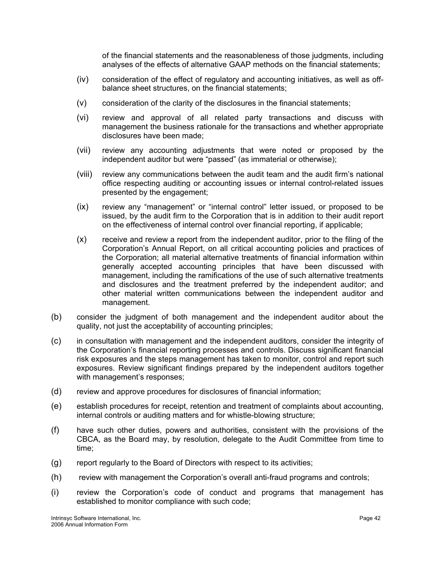of the financial statements and the reasonableness of those judgments, including analyses of the effects of alternative GAAP methods on the financial statements;

- (iv) consideration of the effect of regulatory and accounting initiatives, as well as offbalance sheet structures, on the financial statements;
- (v) consideration of the clarity of the disclosures in the financial statements;
- (vi) review and approval of all related party transactions and discuss with management the business rationale for the transactions and whether appropriate disclosures have been made;
- (vii) review any accounting adjustments that were noted or proposed by the independent auditor but were "passed" (as immaterial or otherwise);
- (viii) review any communications between the audit team and the audit firm's national office respecting auditing or accounting issues or internal control-related issues presented by the engagement;
- (ix) review any "management" or "internal control" letter issued, or proposed to be issued, by the audit firm to the Corporation that is in addition to their audit report on the effectiveness of internal control over financial reporting, if applicable;
- (x) receive and review a report from the independent auditor, prior to the filing of the Corporation's Annual Report, on all critical accounting policies and practices of the Corporation; all material alternative treatments of financial information within generally accepted accounting principles that have been discussed with management, including the ramifications of the use of such alternative treatments and disclosures and the treatment preferred by the independent auditor; and other material written communications between the independent auditor and management.
- (b) consider the judgment of both management and the independent auditor about the quality, not just the acceptability of accounting principles;
- (c) in consultation with management and the independent auditors, consider the integrity of the Corporation's financial reporting processes and controls. Discuss significant financial risk exposures and the steps management has taken to monitor, control and report such exposures. Review significant findings prepared by the independent auditors together with management's responses;
- (d) review and approve procedures for disclosures of financial information;
- (e) establish procedures for receipt, retention and treatment of complaints about accounting, internal controls or auditing matters and for whistle-blowing structure;
- (f) have such other duties, powers and authorities, consistent with the provisions of the CBCA, as the Board may, by resolution, delegate to the Audit Committee from time to time;
- (g) report regularly to the Board of Directors with respect to its activities;
- (h) review with management the Corporation's overall anti-fraud programs and controls;
- (i) review the Corporation's code of conduct and programs that management has established to monitor compliance with such code;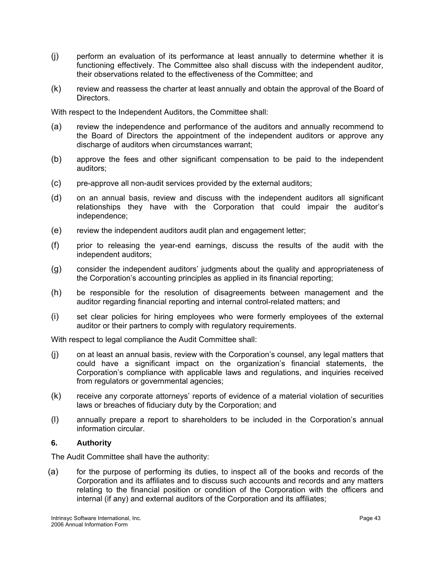- (j) perform an evaluation of its performance at least annually to determine whether it is functioning effectively. The Committee also shall discuss with the independent auditor, their observations related to the effectiveness of the Committee; and
- (k) review and reassess the charter at least annually and obtain the approval of the Board of Directors.

With respect to the Independent Auditors, the Committee shall:

- (a) review the independence and performance of the auditors and annually recommend to the Board of Directors the appointment of the independent auditors or approve any discharge of auditors when circumstances warrant;
- (b) approve the fees and other significant compensation to be paid to the independent auditors;
- $(c)$ pre-approve all non-audit services provided by the external auditors;
- (d) on an annual basis, review and discuss with the independent auditors all significant relationships they have with the Corporation that could impair the auditor's independence;
- (e) review the independent auditors audit plan and engagement letter;
- (f) prior to releasing the year-end earnings, discuss the results of the audit with the independent auditors;
- (g) consider the independent auditors' judgments about the quality and appropriateness of the Corporation's accounting principles as applied in its financial reporting;
- (h) be responsible for the resolution of disagreements between management and the auditor regarding financial reporting and internal control-related matters; and
- (i) set clear policies for hiring employees who were formerly employees of the external auditor or their partners to comply with regulatory requirements.

With respect to legal compliance the Audit Committee shall:

- (j) on at least an annual basis, review with the Corporation's counsel, any legal matters that could have a significant impact on the organization's financial statements, the Corporation's compliance with applicable laws and regulations, and inquiries received from regulators or governmental agencies;
- (k) receive any corporate attorneys' reports of evidence of a material violation of securities laws or breaches of fiduciary duty by the Corporation; and
- (l) annually prepare a report to shareholders to be included in the Corporation's annual information circular.

#### **6. Authority**

The Audit Committee shall have the authority:

(a) for the purpose of performing its duties, to inspect all of the books and records of the Corporation and its affiliates and to discuss such accounts and records and any matters relating to the financial position or condition of the Corporation with the officers and internal (if any) and external auditors of the Corporation and its affiliates;